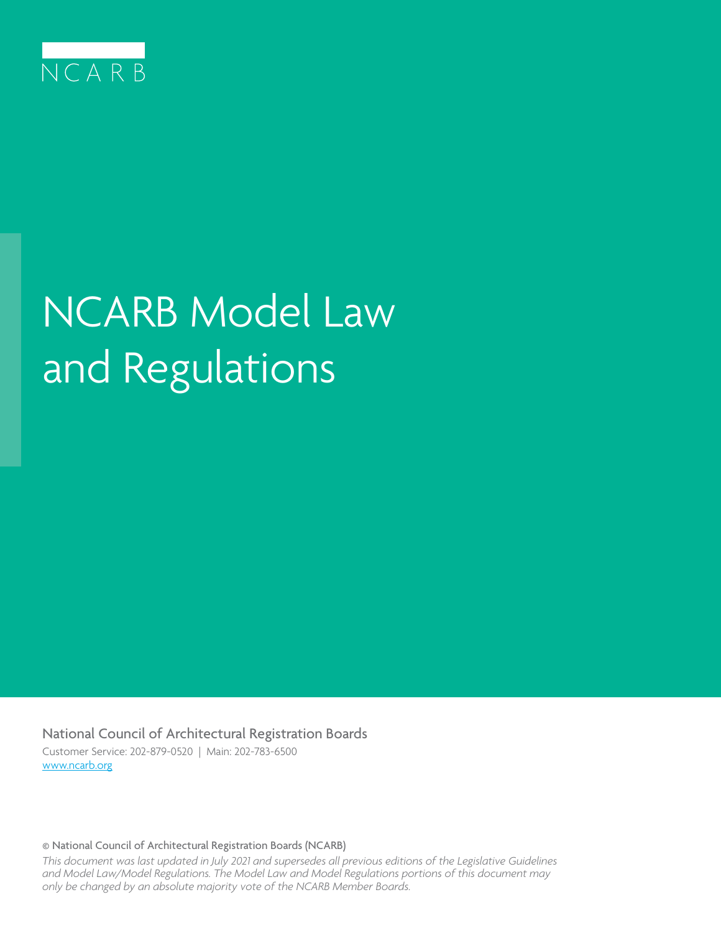

# NCARB Model Law and Regulations

National Council of Architectural Registration Boards Customer Service: 202-879-0520 | Main: 202-783-6500 www.ncarb.org

© National Council of Architectural Registration Boards (NCARB)

*This document was last updated in July 2021 and supersedes all previous editions of the Legislative Guidelines and Model Law/Model Regulations. The Model Law and Model Regulations portions of this document may only be changed by an absolute majority vote of the NCARB Member Boards.*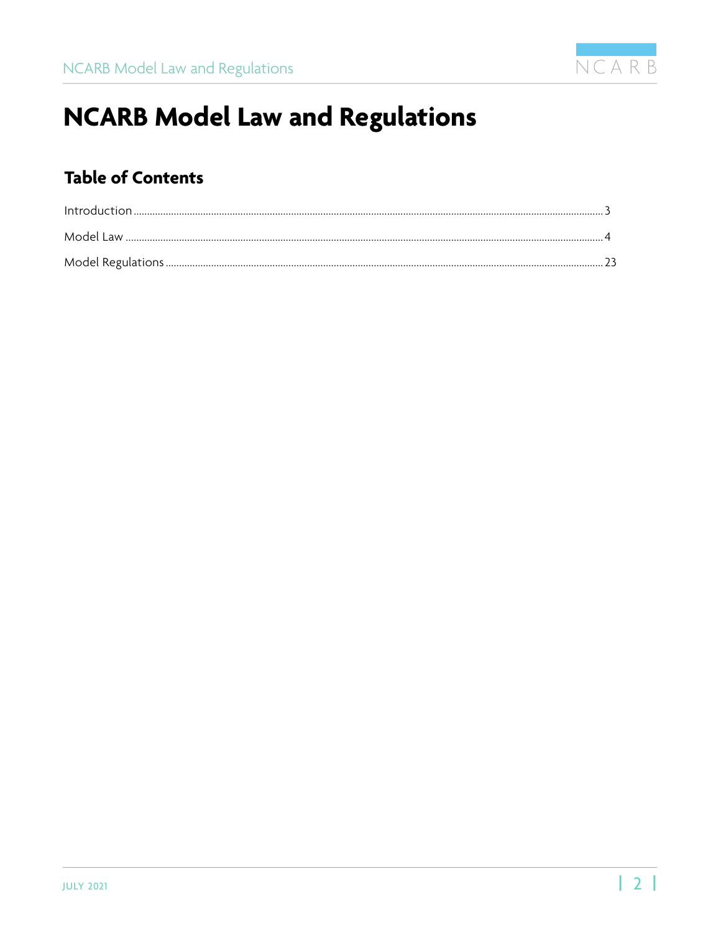

## **NCARB Model Law and Regulations**

## **Table of Contents**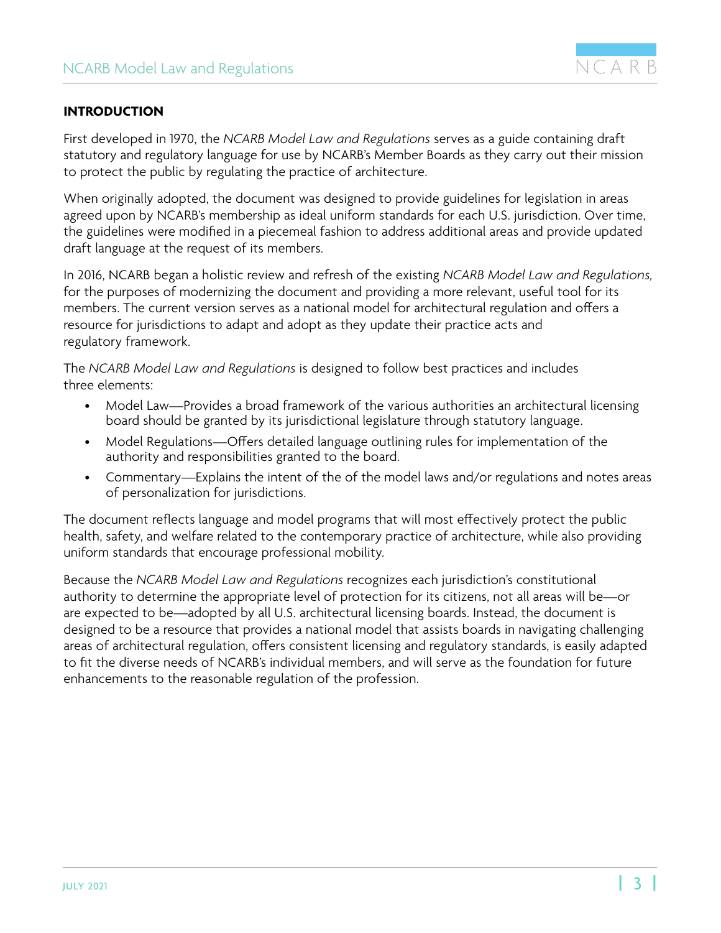

#### <span id="page-2-0"></span>**INTRODUCTION**

First developed in 1970, the *NCARB Model Law and Regulations* serves as a guide containing draft statutory and regulatory language for use by NCARB's Member Boards as they carry out their mission to protect the public by regulating the practice of architecture.

When originally adopted, the document was designed to provide guidelines for legislation in areas agreed upon by NCARB's membership as ideal uniform standards for each U.S. jurisdiction. Over time, the guidelines were modified in a piecemeal fashion to address additional areas and provide updated draft language at the request of its members.

In 2016, NCARB began a holistic review and refresh of the existing *NCARB Model Law and Regulations,* for the purposes of modernizing the document and providing a more relevant, useful tool for its members. The current version serves as a national model for architectural regulation and offers a resource for jurisdictions to adapt and adopt as they update their practice acts and regulatory framework.

The *NCARB Model Law and Regulations* is designed to follow best practices and includes three elements:

- Model Law—Provides a broad framework of the various authorities an architectural licensing board should be granted by its jurisdictional legislature through statutory language.
- Model Regulations—Offers detailed language outlining rules for implementation of the authority and responsibilities granted to the board.
- Commentary—Explains the intent of the of the model laws and/or regulations and notes areas of personalization for jurisdictions.

The document reflects language and model programs that will most effectively protect the public health, safety, and welfare related to the contemporary practice of architecture, while also providing uniform standards that encourage professional mobility.

Because the *NCARB Model Law and Regulations* recognizes each jurisdiction's constitutional authority to determine the appropriate level of protection for its citizens, not all areas will be—or are expected to be—adopted by all U.S. architectural licensing boards. Instead, the document is designed to be a resource that provides a national model that assists boards in navigating challenging areas of architectural regulation, offers consistent licensing and regulatory standards, is easily adapted to fit the diverse needs of NCARB's individual members, and will serve as the foundation for future enhancements to the reasonable regulation of the profession.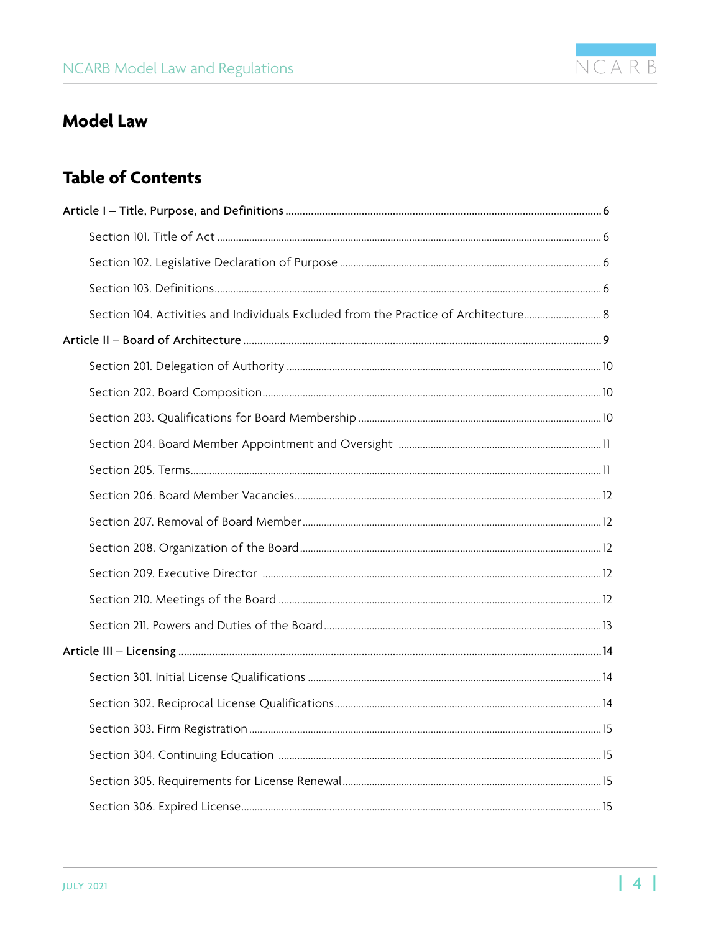

## <span id="page-3-0"></span>**Model Law**

## **Table of Contents**

| Section 104. Activities and Individuals Excluded from the Practice of Architecture 8 |  |
|--------------------------------------------------------------------------------------|--|
|                                                                                      |  |
|                                                                                      |  |
|                                                                                      |  |
|                                                                                      |  |
|                                                                                      |  |
|                                                                                      |  |
|                                                                                      |  |
|                                                                                      |  |
|                                                                                      |  |
|                                                                                      |  |
|                                                                                      |  |
|                                                                                      |  |
|                                                                                      |  |
|                                                                                      |  |
|                                                                                      |  |
|                                                                                      |  |
|                                                                                      |  |
|                                                                                      |  |
|                                                                                      |  |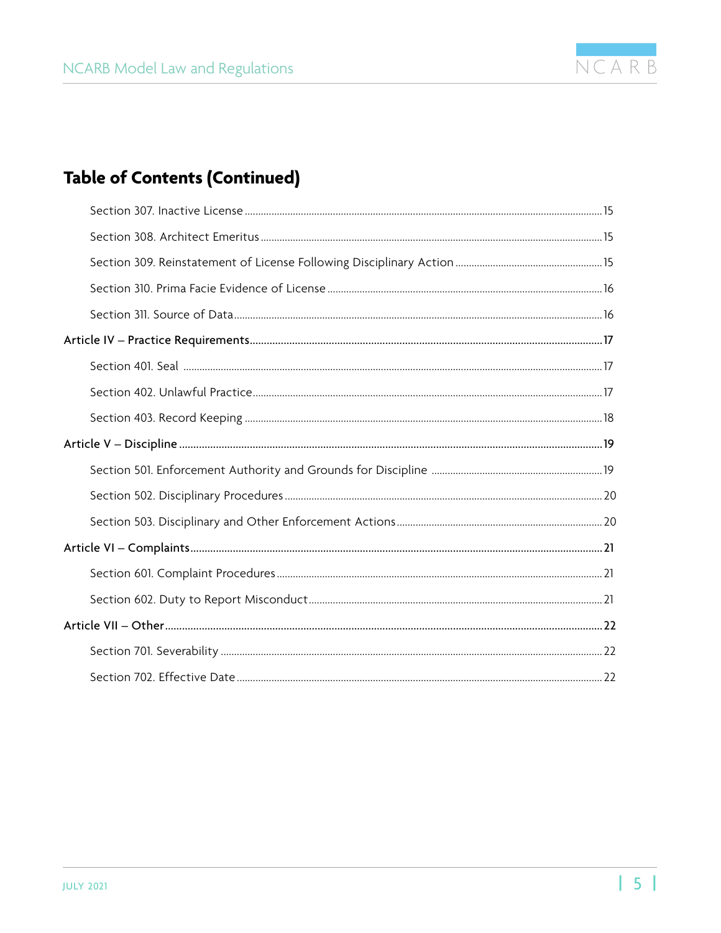

## **Table of Contents (Continued)**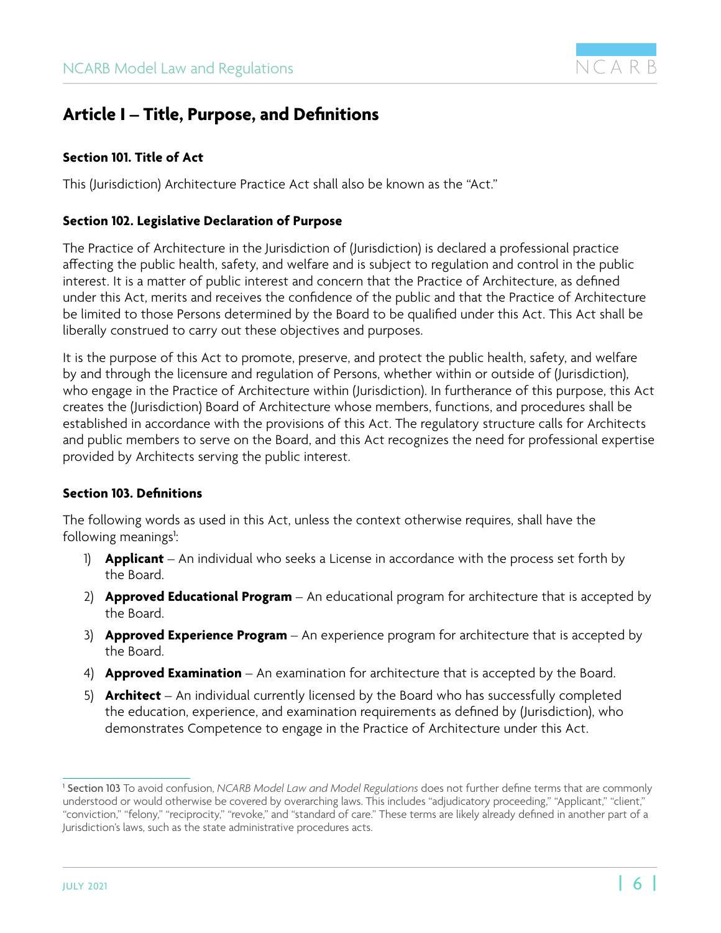

## <span id="page-5-0"></span>**Article I – Title, Purpose, and Definitions**

#### **Section 101. Title of Act**

This (Jurisdiction) Architecture Practice Act shall also be known as the "Act."

#### **Section 102. Legislative Declaration of Purpose**

The Practice of Architecture in the Jurisdiction of (Jurisdiction) is declared a professional practice affecting the public health, safety, and welfare and is subject to regulation and control in the public interest. It is a matter of public interest and concern that the Practice of Architecture, as defined under this Act, merits and receives the confidence of the public and that the Practice of Architecture be limited to those Persons determined by the Board to be qualified under this Act. This Act shall be liberally construed to carry out these objectives and purposes.

It is the purpose of this Act to promote, preserve, and protect the public health, safety, and welfare by and through the licensure and regulation of Persons, whether within or outside of (Jurisdiction), who engage in the Practice of Architecture within (Jurisdiction). In furtherance of this purpose, this Act creates the (Jurisdiction) Board of Architecture whose members, functions, and procedures shall be established in accordance with the provisions of this Act. The regulatory structure calls for Architects and public members to serve on the Board, and this Act recognizes the need for professional expertise provided by Architects serving the public interest.

#### **Section 103. Definitions**

The following words as used in this Act, unless the context otherwise requires, shall have the following meanings<sup>1</sup>: :

- 1) **Applicant**  An individual who seeks a License in accordance with the process set forth by the Board.
- 2) **Approved Educational Program** An educational program for architecture that is accepted by the Board.
- 3) **Approved Experience Program**  An experience program for architecture that is accepted by the Board.
- 4) **Approved Examination** An examination for architecture that is accepted by the Board.
- 5) **Architect** An individual currently licensed by the Board who has successfully completed the education, experience, and examination requirements as defined by (Jurisdiction), who demonstrates Competence to engage in the Practice of Architecture under this Act.

<sup>1</sup> Section 103 To avoid confusion, *NCARB Model Law and Model Regulations* does not further define terms that are commonly understood or would otherwise be covered by overarching laws. This includes "adjudicatory proceeding," "Applicant," "client," "conviction," "felony," "reciprocity," "revoke," and "standard of care." These terms are likely already defined in another part of a Jurisdiction's laws, such as the state administrative procedures acts.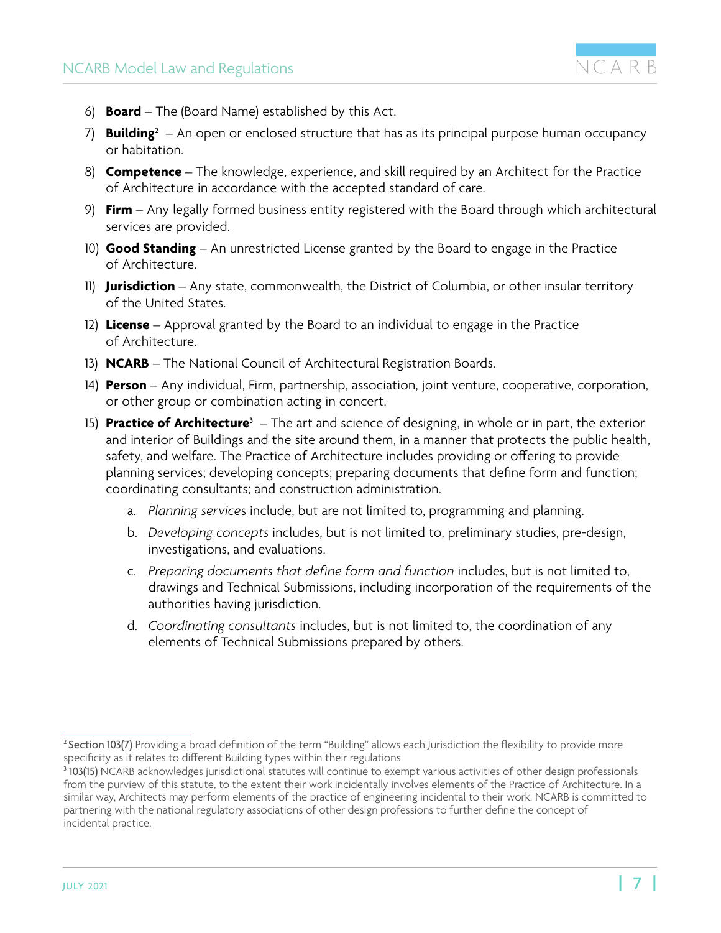

- 6) **Board** The (Board Name) established by this Act.
- 7) **Building**<sup>2</sup> – An open or enclosed structure that has as its principal purpose human occupancy or habitation.
- 8) **Competence** The knowledge, experience, and skill required by an Architect for the Practice of Architecture in accordance with the accepted standard of care.
- 9) **Firm** Any legally formed business entity registered with the Board through which architectural services are provided.
- 10) **Good Standing** An unrestricted License granted by the Board to engage in the Practice of Architecture.
- 11) **Jurisdiction** Any state, commonwealth, the District of Columbia, or other insular territory of the United States.
- 12) **License** Approval granted by the Board to an individual to engage in the Practice of Architecture.
- 13) **NCARB** The National Council of Architectural Registration Boards.
- 14) **Person** Any individual, Firm, partnership, association, joint venture, cooperative, corporation, or other group or combination acting in concert.
- 15) P**ractice of Architecture**3 The art and science of designing, in whole or in part, the exterior and interior of Buildings and the site around them, in a manner that protects the public health, safety, and welfare. The Practice of Architecture includes providing or offering to provide planning services; developing concepts; preparing documents that define form and function; coordinating consultants; and construction administration.
	- a. *Planning service*s include, but are not limited to, programming and planning.
	- b. *Developing concepts* includes, but is not limited to, preliminary studies, pre-design, investigations, and evaluations.
	- c. *Preparing documents that define form and function* includes, but is not limited to, drawings and Technical Submissions, including incorporation of the requirements of the authorities having jurisdiction.
	- d. *Coordinating consultants* includes, but is not limited to, the coordination of any elements of Technical Submissions prepared by others.

<sup>&</sup>lt;sup>2</sup> Section 103(7) Providing a broad definition of the term "Building" allows each Jurisdiction the flexibility to provide more specificity as it relates to different Building types within their regulations

<sup>&</sup>lt;sup>3</sup> 103(15) NCARB acknowledges jurisdictional statutes will continue to exempt various activities of other design professionals from the purview of this statute, to the extent their work incidentally involves elements of the Practice of Architecture. In a similar way, Architects may perform elements of the practice of engineering incidental to their work. NCARB is committed to partnering with the national regulatory associations of other design professions to further define the concept of incidental practice.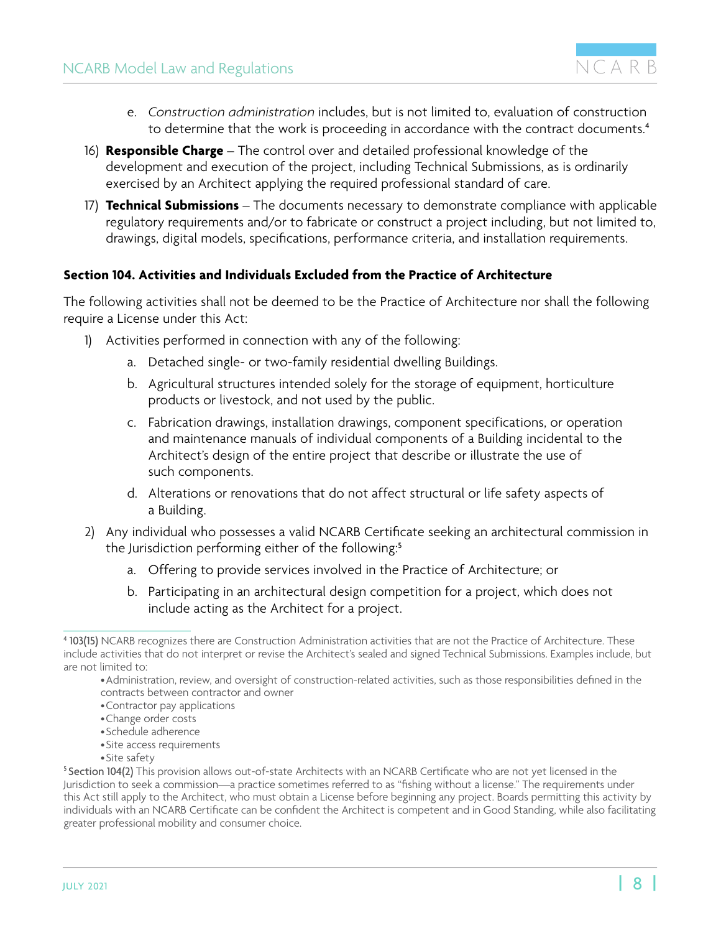- <span id="page-7-0"></span>e. *Construction administration* includes, but is not limited to, evaluation of construction to determine that the work is proceeding in accordance with the contract documents.<sup>4</sup>
- 16) **Responsible Charge** The control over and detailed professional knowledge of the development and execution of the project, including Technical Submissions, as is ordinarily exercised by an Architect applying the required professional standard of care.
- 17) **Technical Submissions** The documents necessary to demonstrate compliance with applicable regulatory requirements and/or to fabricate or construct a project including, but not limited to, drawings, digital models, specifications, performance criteria, and installation requirements.

#### **Section 104. Activities and Individuals Excluded from the Practice of Architecture**

The following activities shall not be deemed to be the Practice of Architecture nor shall the following require a License under this Act:

- 1) Activities performed in connection with any of the following:
	- a. Detached single- or two-family residential dwelling Buildings.
	- b. Agricultural structures intended solely for the storage of equipment, horticulture products or livestock, and not used by the public.
	- c. Fabrication drawings, installation drawings, component specifications, or operation and maintenance manuals of individual components of a Building incidental to the Architect's design of the entire project that describe or illustrate the use of such components.
	- d. Alterations or renovations that do not affect structural or life safety aspects of a Building.
- 2) Any individual who possesses a valid NCARB Certificate seeking an architectural commission in the Jurisdiction performing either of the following:<sup>5</sup>
	- a. Offering to provide services involved in the Practice of Architecture; or
	- b. Participating in an architectural design competition for a project, which does not include acting as the Architect for a project.

- •Site access requirements
- •Site safety

<sup>4</sup> 103(15) NCARB recognizes there are Construction Administration activities that are not the Practice of Architecture. These include activities that do not interpret or revise the Architect's sealed and signed Technical Submissions. Examples include, but are not limited to:

<sup>•</sup>Administration, review, and oversight of construction-related activities, such as those responsibilities defined in the contracts between contractor and owner

<sup>•</sup>Contractor pay applications

<sup>•</sup>Change order costs

<sup>•</sup>Schedule adherence

<sup>5</sup> Section 104(2) This provision allows out-of-state Architects with an NCARB Certificate who are not yet licensed in the Jurisdiction to seek a commission—a practice sometimes referred to as "fishing without a license." The requirements under this Act still apply to the Architect, who must obtain a License before beginning any project. Boards permitting this activity by individuals with an NCARB Certificate can be confident the Architect is competent and in Good Standing, while also facilitating greater professional mobility and consumer choice.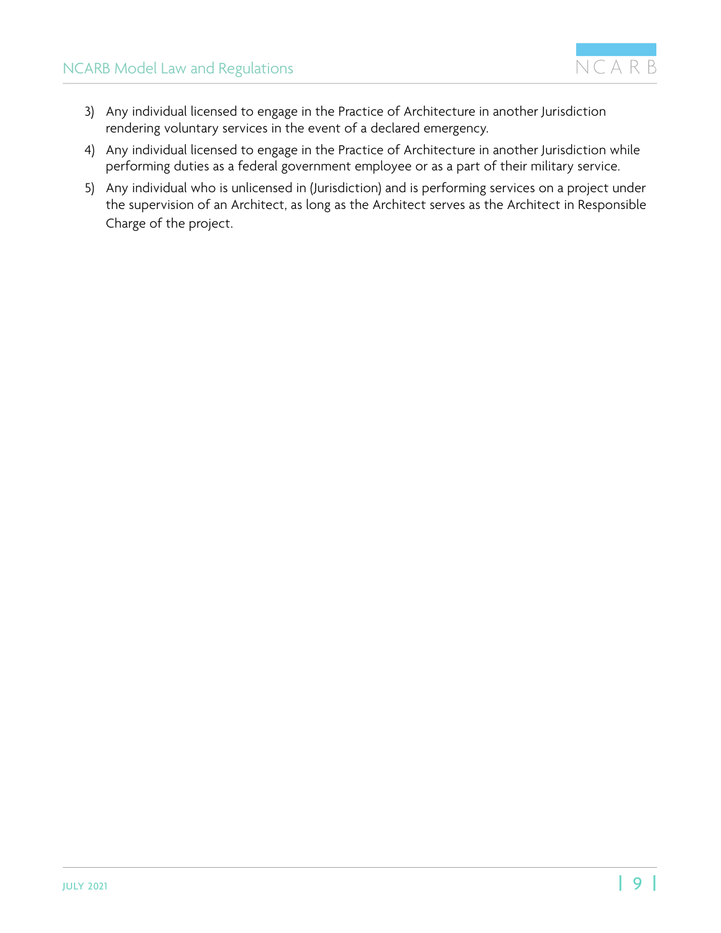

- <span id="page-8-0"></span>3) Any individual licensed to engage in the Practice of Architecture in another Jurisdiction rendering voluntary services in the event of a declared emergency.
- 4) Any individual licensed to engage in the Practice of Architecture in another Jurisdiction while performing duties as a federal government employee or as a part of their military service.
- 5) Any individual who is unlicensed in (Jurisdiction) and is performing services on a project under the supervision of an Architect, as long as the Architect serves as the Architect in Responsible Charge of the project.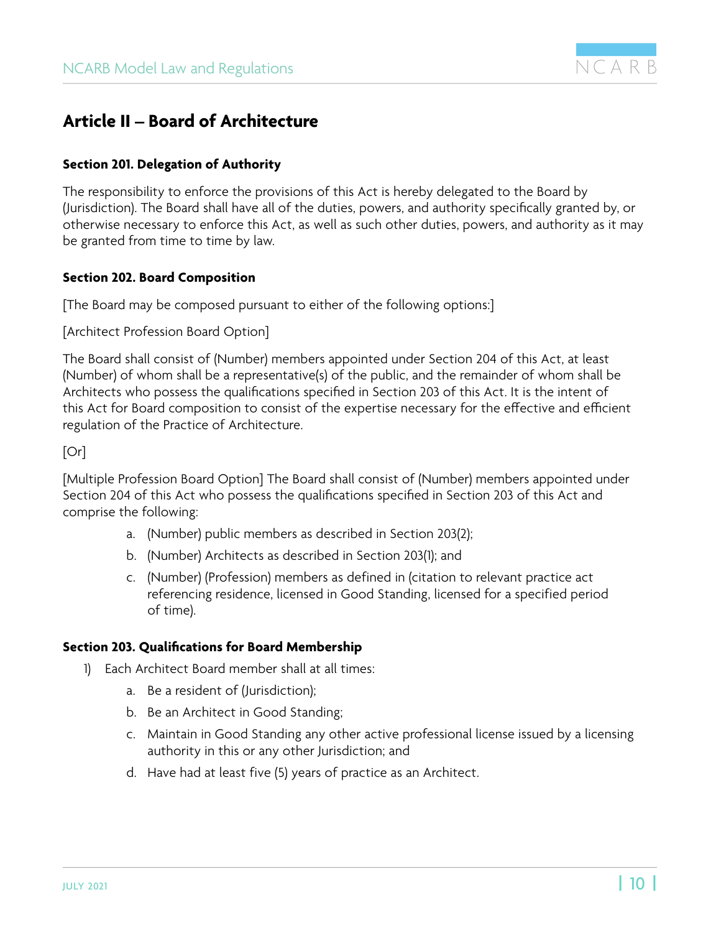

## <span id="page-9-0"></span>**Article II – Board of Architecture**

#### **Section 201. Delegation of Authority**

The responsibility to enforce the provisions of this Act is hereby delegated to the Board by (Jurisdiction). The Board shall have all of the duties, powers, and authority specifically granted by, or otherwise necessary to enforce this Act, as well as such other duties, powers, and authority as it may be granted from time to time by law.

#### **Section 202. Board Composition**

[The Board may be composed pursuant to either of the following options:]

[Architect Profession Board Option]

The Board shall consist of (Number) members appointed under Section 204 of this Act, at least (Number) of whom shall be a representative(s) of the public, and the remainder of whom shall be Architects who possess the qualifications specified in Section 203 of this Act. It is the intent of this Act for Board composition to consist of the expertise necessary for the effective and efficient regulation of the Practice of Architecture.

[Or]

[Multiple Profession Board Option] The Board shall consist of (Number) members appointed under Section 204 of this Act who possess the qualifications specified in Section 203 of this Act and comprise the following:

- a. (Number) public members as described in Section 203(2);
- b. (Number) Architects as described in Section 203(1); and
- c. (Number) (Profession) members as defined in (citation to relevant practice act referencing residence, licensed in Good Standing, licensed for a specified period of time).

#### **Section 203. Qualifications for Board Membership**

- 1) Each Architect Board member shall at all times:
	- a. Be a resident of (Jurisdiction);
	- b. Be an Architect in Good Standing;
	- c. Maintain in Good Standing any other active professional license issued by a licensing authority in this or any other Jurisdiction; and
	- d. Have had at least five (5) years of practice as an Architect.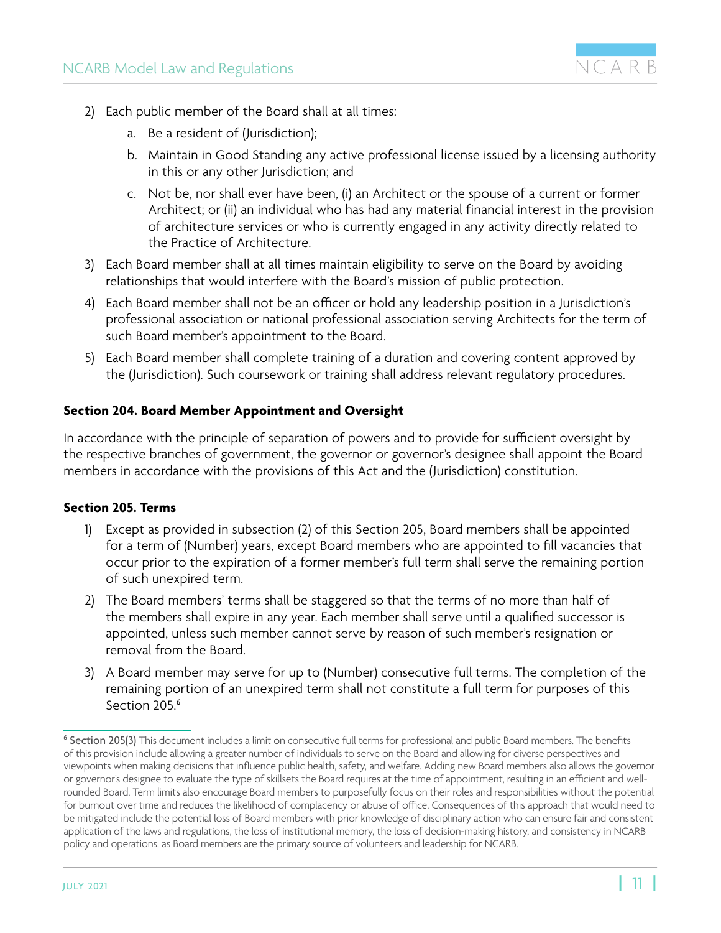

- <span id="page-10-0"></span>2) Each public member of the Board shall at all times:
	- a. Be a resident of (Jurisdiction);
	- b. Maintain in Good Standing any active professional license issued by a licensing authority in this or any other Jurisdiction; and
	- c. Not be, nor shall ever have been, (i) an Architect or the spouse of a current or former Architect; or (ii) an individual who has had any material financial interest in the provision of architecture services or who is currently engaged in any activity directly related to the Practice of Architecture.
- 3) Each Board member shall at all times maintain eligibility to serve on the Board by avoiding relationships that would interfere with the Board's mission of public protection.
- 4) Each Board member shall not be an officer or hold any leadership position in a Jurisdiction's professional association or national professional association serving Architects for the term of such Board member's appointment to the Board.
- 5) Each Board member shall complete training of a duration and covering content approved by the (Jurisdiction). Such coursework or training shall address relevant regulatory procedures.

#### **Section 204. Board Member Appointment and Oversight**

In accordance with the principle of separation of powers and to provide for sufficient oversight by the respective branches of government, the governor or governor's designee shall appoint the Board members in accordance with the provisions of this Act and the (Jurisdiction) constitution.

#### **Section 205. Terms**

- 1) Except as provided in subsection (2) of this Section 205, Board members shall be appointed for a term of (Number) years, except Board members who are appointed to fill vacancies that occur prior to the expiration of a former member's full term shall serve the remaining portion of such unexpired term.
- 2) The Board members' terms shall be staggered so that the terms of no more than half of the members shall expire in any year. Each member shall serve until a qualified successor is appointed, unless such member cannot serve by reason of such member's resignation or removal from the Board.
- 3) A Board member may serve for up to (Number) consecutive full terms. The completion of the remaining portion of an unexpired term shall not constitute a full term for purposes of this Section 205.<sup>6</sup>

<sup>6</sup> Section 205(3) This document includes a limit on consecutive full terms for professional and public Board members. The benefits of this provision include allowing a greater number of individuals to serve on the Board and allowing for diverse perspectives and viewpoints when making decisions that influence public health, safety, and welfare. Adding new Board members also allows the governor or governor's designee to evaluate the type of skillsets the Board requires at the time of appointment, resulting in an efficient and wellrounded Board. Term limits also encourage Board members to purposefully focus on their roles and responsibilities without the potential for burnout over time and reduces the likelihood of complacency or abuse of office. Consequences of this approach that would need to be mitigated include the potential loss of Board members with prior knowledge of disciplinary action who can ensure fair and consistent application of the laws and regulations, the loss of institutional memory, the loss of decision-making history, and consistency in NCARB policy and operations, as Board members are the primary source of volunteers and leadership for NCARB.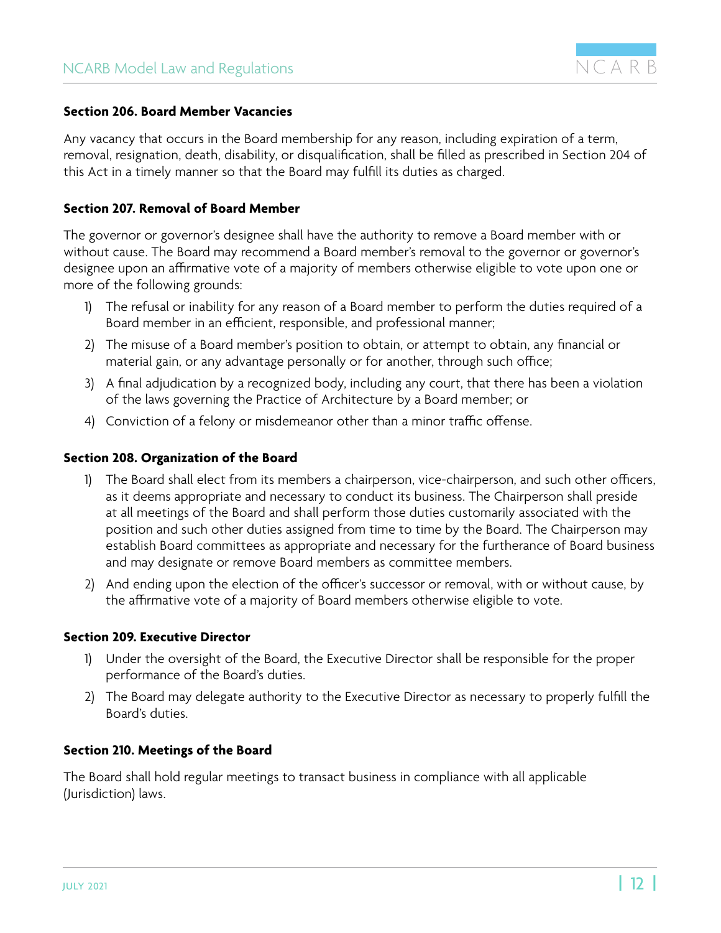

#### <span id="page-11-0"></span>**Section 206. Board Member Vacancies**

Any vacancy that occurs in the Board membership for any reason, including expiration of a term, removal, resignation, death, disability, or disqualification, shall be filled as prescribed in Section 204 of this Act in a timely manner so that the Board may fulfill its duties as charged.

#### **Section 207. Removal of Board Member**

The governor or governor's designee shall have the authority to remove a Board member with or without cause. The Board may recommend a Board member's removal to the governor or governor's designee upon an affirmative vote of a majority of members otherwise eligible to vote upon one or more of the following grounds:

- 1) The refusal or inability for any reason of a Board member to perform the duties required of a Board member in an efficient, responsible, and professional manner;
- 2) The misuse of a Board member's position to obtain, or attempt to obtain, any financial or material gain, or any advantage personally or for another, through such office;
- 3) A final adjudication by a recognized body, including any court, that there has been a violation of the laws governing the Practice of Architecture by a Board member; or
- 4) Conviction of a felony or misdemeanor other than a minor traffic offense.

#### **Section 208. Organization of the Board**

- 1) The Board shall elect from its members a chairperson, vice-chairperson, and such other officers, as it deems appropriate and necessary to conduct its business. The Chairperson shall preside at all meetings of the Board and shall perform those duties customarily associated with the position and such other duties assigned from time to time by the Board. The Chairperson may establish Board committees as appropriate and necessary for the furtherance of Board business and may designate or remove Board members as committee members.
- 2) And ending upon the election of the officer's successor or removal, with or without cause, by the affirmative vote of a majority of Board members otherwise eligible to vote.

#### **Section 209. Executive Director**

- 1) Under the oversight of the Board, the Executive Director shall be responsible for the proper performance of the Board's duties.
- 2) The Board may delegate authority to the Executive Director as necessary to properly fulfill the Board's duties.

#### **Section 210. Meetings of the Board**

The Board shall hold regular meetings to transact business in compliance with all applicable (Jurisdiction) laws.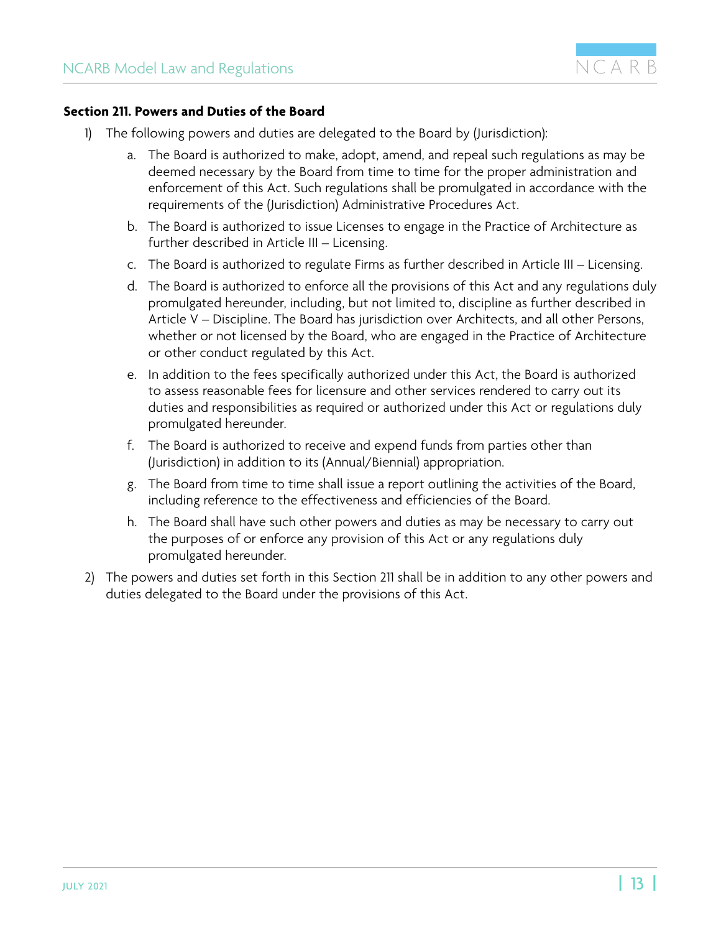

#### <span id="page-12-0"></span>**Section 211. Powers and Duties of the Board**

- 1) The following powers and duties are delegated to the Board by (Jurisdiction):
	- a. The Board is authorized to make, adopt, amend, and repeal such regulations as may be deemed necessary by the Board from time to time for the proper administration and enforcement of this Act. Such regulations shall be promulgated in accordance with the requirements of the (Jurisdiction) Administrative Procedures Act.
	- b. The Board is authorized to issue Licenses to engage in the Practice of Architecture as further described in Article III – Licensing.
	- c. The Board is authorized to regulate Firms as further described in Article III Licensing.
	- d. The Board is authorized to enforce all the provisions of this Act and any regulations duly promulgated hereunder, including, but not limited to, discipline as further described in Article V – Discipline. The Board has jurisdiction over Architects, and all other Persons, whether or not licensed by the Board, who are engaged in the Practice of Architecture or other conduct regulated by this Act.
	- e. In addition to the fees specifically authorized under this Act, the Board is authorized to assess reasonable fees for licensure and other services rendered to carry out its duties and responsibilities as required or authorized under this Act or regulations duly promulgated hereunder.
	- f. The Board is authorized to receive and expend funds from parties other than (Jurisdiction) in addition to its (Annual/Biennial) appropriation.
	- g. The Board from time to time shall issue a report outlining the activities of the Board, including reference to the effectiveness and efficiencies of the Board.
	- h. The Board shall have such other powers and duties as may be necessary to carry out the purposes of or enforce any provision of this Act or any regulations duly promulgated hereunder.
- 2) The powers and duties set forth in this Section 211 shall be in addition to any other powers and duties delegated to the Board under the provisions of this Act.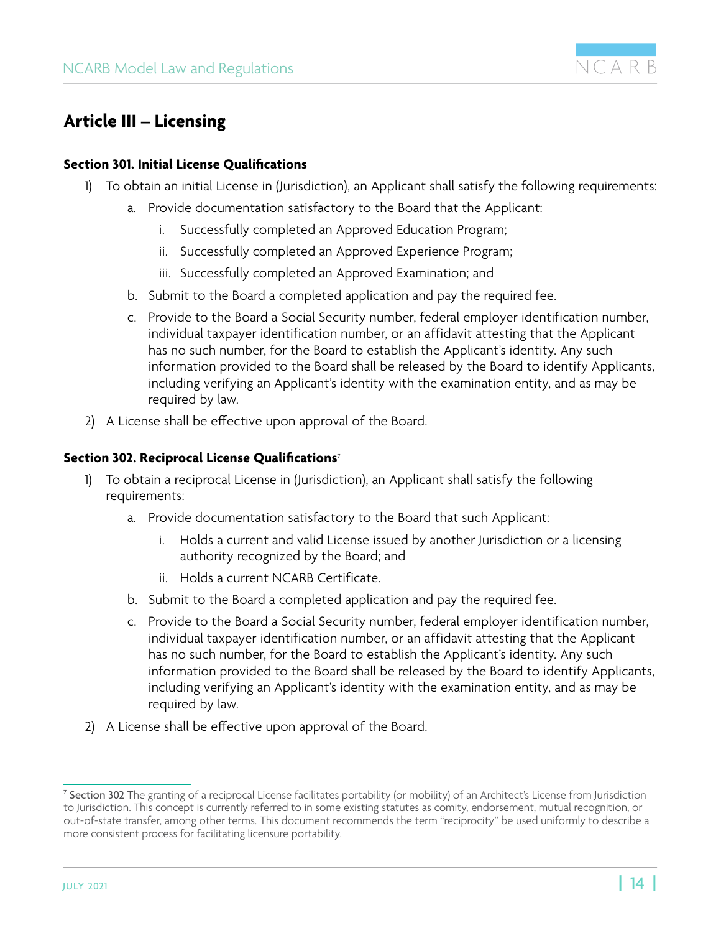

## <span id="page-13-0"></span>**Article III – Licensing**

#### **Section 301. Initial License Qualifications**

- 1) To obtain an initial License in (Jurisdiction), an Applicant shall satisfy the following requirements:
	- a. Provide documentation satisfactory to the Board that the Applicant:
		- i. Successfully completed an Approved Education Program;
		- ii. Successfully completed an Approved Experience Program;
		- iii. Successfully completed an Approved Examination; and
	- b. Submit to the Board a completed application and pay the required fee.
	- c. Provide to the Board a Social Security number, federal employer identification number, individual taxpayer identification number, or an affidavit attesting that the Applicant has no such number, for the Board to establish the Applicant's identity. Any such information provided to the Board shall be released by the Board to identify Applicants, including verifying an Applicant's identity with the examination entity, and as may be required by law.
- 2) A License shall be effective upon approval of the Board.

#### **Section 302. Reciprocal License Qualifications**<sup>7</sup>

- 1) To obtain a reciprocal License in (Jurisdiction), an Applicant shall satisfy the following requirements:
	- a. Provide documentation satisfactory to the Board that such Applicant:
		- i. Holds a current and valid License issued by another Jurisdiction or a licensing authority recognized by the Board; and
		- ii. Holds a current NCARB Certificate.
	- b. Submit to the Board a completed application and pay the required fee.
	- c. Provide to the Board a Social Security number, federal employer identification number, individual taxpayer identification number, or an affidavit attesting that the Applicant has no such number, for the Board to establish the Applicant's identity. Any such information provided to the Board shall be released by the Board to identify Applicants, including verifying an Applicant's identity with the examination entity, and as may be required by law.
- 2) A License shall be effective upon approval of the Board.

<sup>&</sup>lt;sup>7</sup> Section 302 The granting of a reciprocal License facilitates portability (or mobility) of an Architect's License from Jurisdiction to Jurisdiction. This concept is currently referred to in some existing statutes as comity, endorsement, mutual recognition, or out-of-state transfer, among other terms. This document recommends the term "reciprocity" be used uniformly to describe a more consistent process for facilitating licensure portability.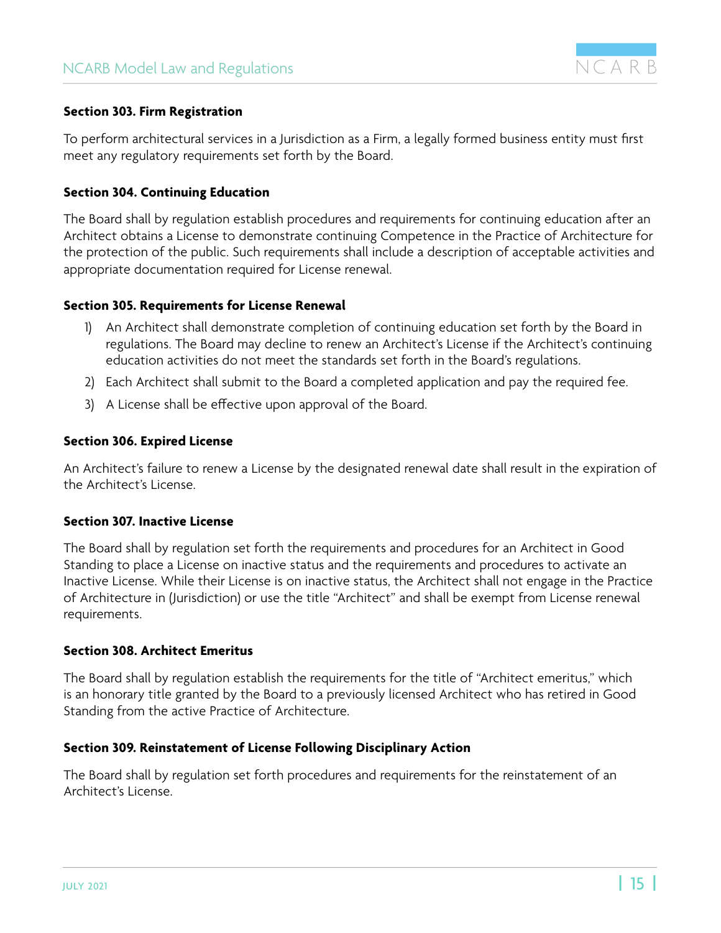

#### <span id="page-14-0"></span>**Section 303. Firm Registration**

To perform architectural services in a Jurisdiction as a Firm, a legally formed business entity must first meet any regulatory requirements set forth by the Board.

#### **Section 304. Continuing Education**

The Board shall by regulation establish procedures and requirements for continuing education after an Architect obtains a License to demonstrate continuing Competence in the Practice of Architecture for the protection of the public. Such requirements shall include a description of acceptable activities and appropriate documentation required for License renewal.

#### **Section 305. Requirements for License Renewal**

- 1) An Architect shall demonstrate completion of continuing education set forth by the Board in regulations. The Board may decline to renew an Architect's License if the Architect's continuing education activities do not meet the standards set forth in the Board's regulations.
- 2) Each Architect shall submit to the Board a completed application and pay the required fee.
- 3) A License shall be effective upon approval of the Board.

#### **Section 306. Expired License**

An Architect's failure to renew a License by the designated renewal date shall result in the expiration of the Architect's License.

#### **Section 307. Inactive License**

The Board shall by regulation set forth the requirements and procedures for an Architect in Good Standing to place a License on inactive status and the requirements and procedures to activate an Inactive License. While their License is on inactive status, the Architect shall not engage in the Practice of Architecture in (Jurisdiction) or use the title "Architect" and shall be exempt from License renewal requirements.

#### **Section 308. Architect Emeritus**

The Board shall by regulation establish the requirements for the title of "Architect emeritus," which is an honorary title granted by the Board to a previously licensed Architect who has retired in Good Standing from the active Practice of Architecture.

#### **Section 309. Reinstatement of License Following Disciplinary Action**

The Board shall by regulation set forth procedures and requirements for the reinstatement of an Architect's License.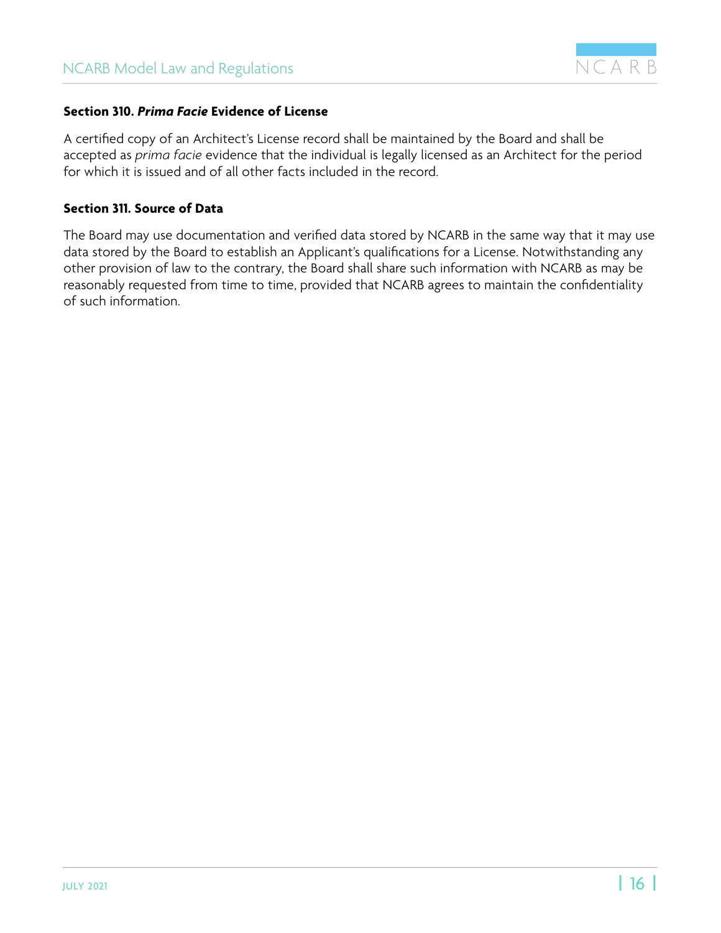

#### <span id="page-15-0"></span>**Section 310.** *Prima Facie* **Evidence of License**

A certified copy of an Architect's License record shall be maintained by the Board and shall be accepted as *prima facie* evidence that the individual is legally licensed as an Architect for the period for which it is issued and of all other facts included in the record.

#### **Section 311. Source of Data**

The Board may use documentation and verified data stored by NCARB in the same way that it may use data stored by the Board to establish an Applicant's qualifications for a License. Notwithstanding any other provision of law to the contrary, the Board shall share such information with NCARB as may be reasonably requested from time to time, provided that NCARB agrees to maintain the confidentiality of such information.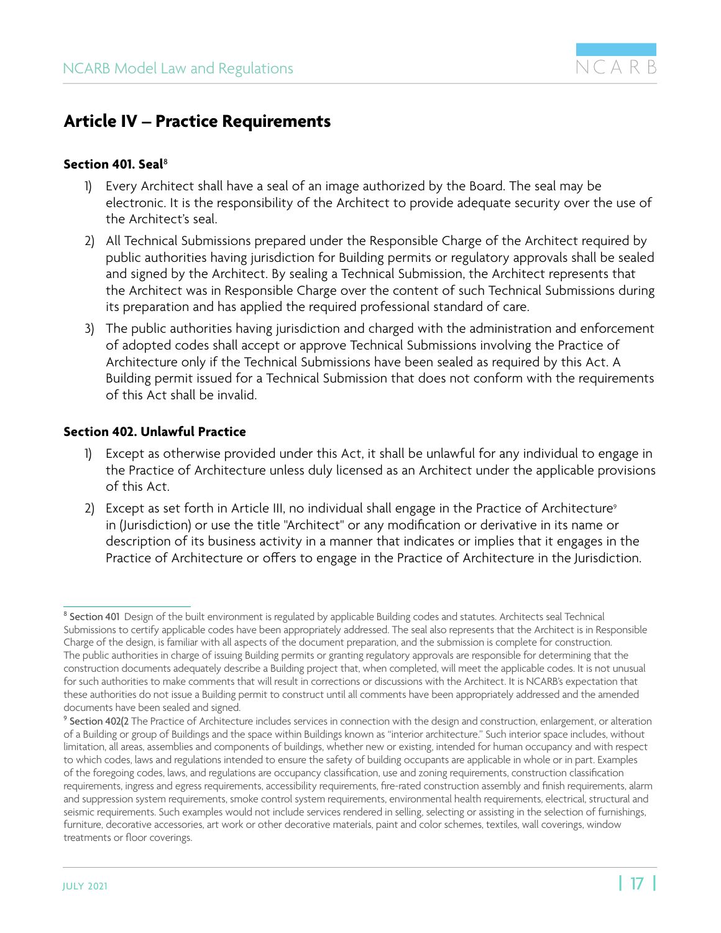

### <span id="page-16-0"></span>**Article IV – Practice Requirements**

#### **Section 401. Seal**<sup>8</sup>

- 1) Every Architect shall have a seal of an image authorized by the Board. The seal may be electronic. It is the responsibility of the Architect to provide adequate security over the use of the Architect's seal.
- 2) All Technical Submissions prepared under the Responsible Charge of the Architect required by public authorities having jurisdiction for Building permits or regulatory approvals shall be sealed and signed by the Architect. By sealing a Technical Submission, the Architect represents that the Architect was in Responsible Charge over the content of such Technical Submissions during its preparation and has applied the required professional standard of care.
- 3) The public authorities having jurisdiction and charged with the administration and enforcement of adopted codes shall accept or approve Technical Submissions involving the Practice of Architecture only if the Technical Submissions have been sealed as required by this Act. A Building permit issued for a Technical Submission that does not conform with the requirements of this Act shall be invalid.

#### **Section 402. Unlawful Practice**

- 1) Except as otherwise provided under this Act, it shall be unlawful for any individual to engage in the Practice of Architecture unless duly licensed as an Architect under the applicable provisions of this Act.
- 2)  $\,$  Except as set forth in Article III, no individual shall engage in the Practice of Architecture $^{\circ}$ in (Jurisdiction) or use the title "Architect" or any modification or derivative in its name or description of its business activity in a manner that indicates or implies that it engages in the Practice of Architecture or offers to engage in the Practice of Architecture in the Jurisdiction.

<sup>8</sup> Section 401 Design of the built environment is regulated by applicable Building codes and statutes. Architects seal Technical Submissions to certify applicable codes have been appropriately addressed. The seal also represents that the Architect is in Responsible Charge of the design, is familiar with all aspects of the document preparation, and the submission is complete for construction. The public authorities in charge of issuing Building permits or granting regulatory approvals are responsible for determining that the construction documents adequately describe a Building project that, when completed, will meet the applicable codes. It is not unusual for such authorities to make comments that will result in corrections or discussions with the Architect. It is NCARB's expectation that these authorities do not issue a Building permit to construct until all comments have been appropriately addressed and the amended documents have been sealed and signed.

<sup>9</sup> Section 402(2 The Practice of Architecture includes services in connection with the design and construction, enlargement, or alteration of a Building or group of Buildings and the space within Buildings known as "interior architecture." Such interior space includes, without limitation, all areas, assemblies and components of buildings, whether new or existing, intended for human occupancy and with respect to which codes, laws and regulations intended to ensure the safety of building occupants are applicable in whole or in part. Examples of the foregoing codes, laws, and regulations are occupancy classification, use and zoning requirements, construction classification requirements, ingress and egress requirements, accessibility requirements, fire-rated construction assembly and finish requirements, alarm and suppression system requirements, smoke control system requirements, environmental health requirements, electrical, structural and seismic requirements. Such examples would not include services rendered in selling, selecting or assisting in the selection of furnishings, furniture, decorative accessories, art work or other decorative materials, paint and color schemes, textiles, wall coverings, window treatments or floor coverings.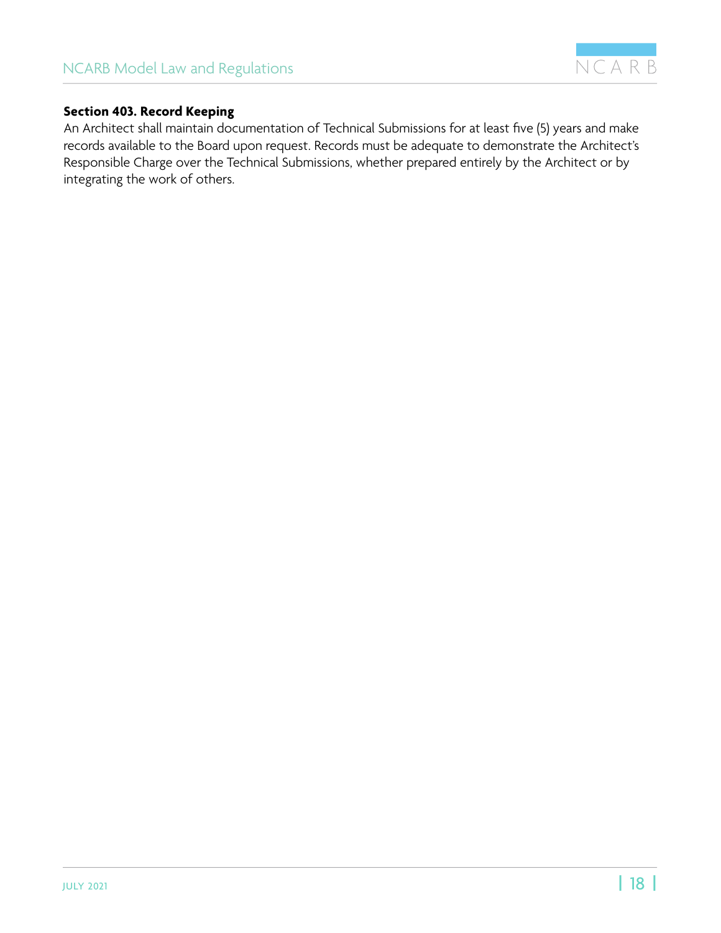

#### <span id="page-17-0"></span>**Section 403. Record Keeping**

An Architect shall maintain documentation of Technical Submissions for at least five (5) years and make records available to the Board upon request. Records must be adequate to demonstrate the Architect's Responsible Charge over the Technical Submissions, whether prepared entirely by the Architect or by integrating the work of others.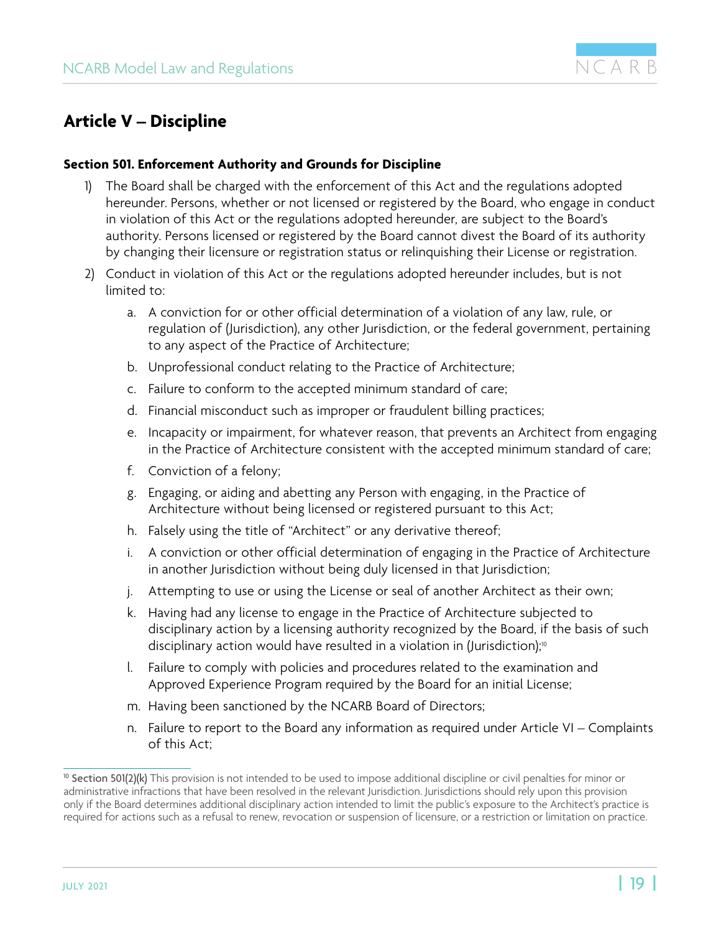

## <span id="page-18-0"></span>**Article V – Discipline**

#### **Section 501. Enforcement Authority and Grounds for Discipline**

- 1) The Board shall be charged with the enforcement of this Act and the regulations adopted hereunder. Persons, whether or not licensed or registered by the Board, who engage in conduct in violation of this Act or the regulations adopted hereunder, are subject to the Board's authority. Persons licensed or registered by the Board cannot divest the Board of its authority by changing their licensure or registration status or relinquishing their License or registration.
- 2) Conduct in violation of this Act or the regulations adopted hereunder includes, but is not limited to:
	- a. A conviction for or other official determination of a violation of any law, rule, or regulation of (Jurisdiction), any other Jurisdiction, or the federal government, pertaining to any aspect of the Practice of Architecture;
	- b. Unprofessional conduct relating to the Practice of Architecture;
	- c. Failure to conform to the accepted minimum standard of care;
	- d. Financial misconduct such as improper or fraudulent billing practices;
	- e. Incapacity or impairment, for whatever reason, that prevents an Architect from engaging in the Practice of Architecture consistent with the accepted minimum standard of care;
	- f. Conviction of a felony;
	- g. Engaging, or aiding and abetting any Person with engaging, in the Practice of Architecture without being licensed or registered pursuant to this Act;
	- h. Falsely using the title of "Architect" or any derivative thereof;
	- i. A conviction or other official determination of engaging in the Practice of Architecture in another Jurisdiction without being duly licensed in that Jurisdiction;
	- j. Attempting to use or using the License or seal of another Architect as their own;
	- k. Having had any license to engage in the Practice of Architecture subjected to disciplinary action by a licensing authority recognized by the Board, if the basis of such disciplinary action would have resulted in a violation in (Jurisdiction);<sup>10</sup>
	- l. Failure to comply with policies and procedures related to the examination and Approved Experience Program required by the Board for an initial License;
	- m. Having been sanctioned by the NCARB Board of Directors;
	- n. Failure to report to the Board any information as required under Article VI Complaints of this Act;

<sup>&</sup>lt;sup>10</sup> Section 501(2)(k) This provision is not intended to be used to impose additional discipline or civil penalties for minor or administrative infractions that have been resolved in the relevant Jurisdiction. Jurisdictions should rely upon this provision only if the Board determines additional disciplinary action intended to limit the public's exposure to the Architect's practice is required for actions such as a refusal to renew, revocation or suspension of licensure, or a restriction or limitation on practice.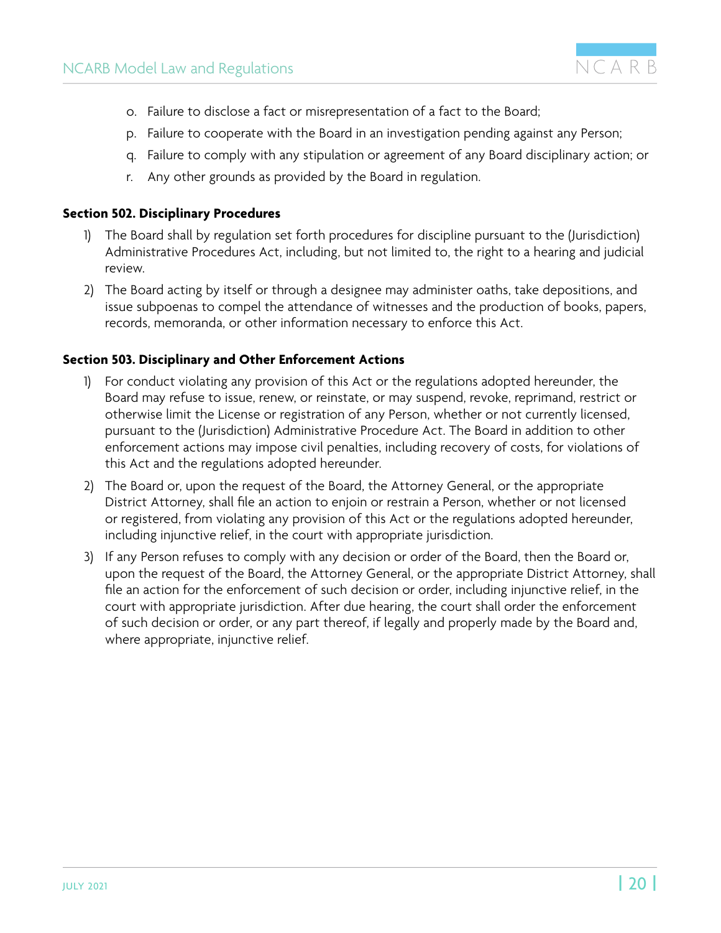- <span id="page-19-0"></span>o. Failure to disclose a fact or misrepresentation of a fact to the Board;
- p. Failure to cooperate with the Board in an investigation pending against any Person;
- q. Failure to comply with any stipulation or agreement of any Board disciplinary action; or
- r. Any other grounds as provided by the Board in regulation.

#### **Section 502. Disciplinary Procedures**

- 1) The Board shall by regulation set forth procedures for discipline pursuant to the (Jurisdiction) Administrative Procedures Act, including, but not limited to, the right to a hearing and judicial review.
- 2) The Board acting by itself or through a designee may administer oaths, take depositions, and issue subpoenas to compel the attendance of witnesses and the production of books, papers, records, memoranda, or other information necessary to enforce this Act.

#### **Section 503. Disciplinary and Other Enforcement Actions**

- 1) For conduct violating any provision of this Act or the regulations adopted hereunder, the Board may refuse to issue, renew, or reinstate, or may suspend, revoke, reprimand, restrict or otherwise limit the License or registration of any Person, whether or not currently licensed, pursuant to the (Jurisdiction) Administrative Procedure Act. The Board in addition to other enforcement actions may impose civil penalties, including recovery of costs, for violations of this Act and the regulations adopted hereunder.
- 2) The Board or, upon the request of the Board, the Attorney General, or the appropriate District Attorney, shall file an action to enjoin or restrain a Person, whether or not licensed or registered, from violating any provision of this Act or the regulations adopted hereunder, including injunctive relief, in the court with appropriate jurisdiction.
- 3) If any Person refuses to comply with any decision or order of the Board, then the Board or, upon the request of the Board, the Attorney General, or the appropriate District Attorney, shall file an action for the enforcement of such decision or order, including injunctive relief, in the court with appropriate jurisdiction. After due hearing, the court shall order the enforcement of such decision or order, or any part thereof, if legally and properly made by the Board and, where appropriate, injunctive relief.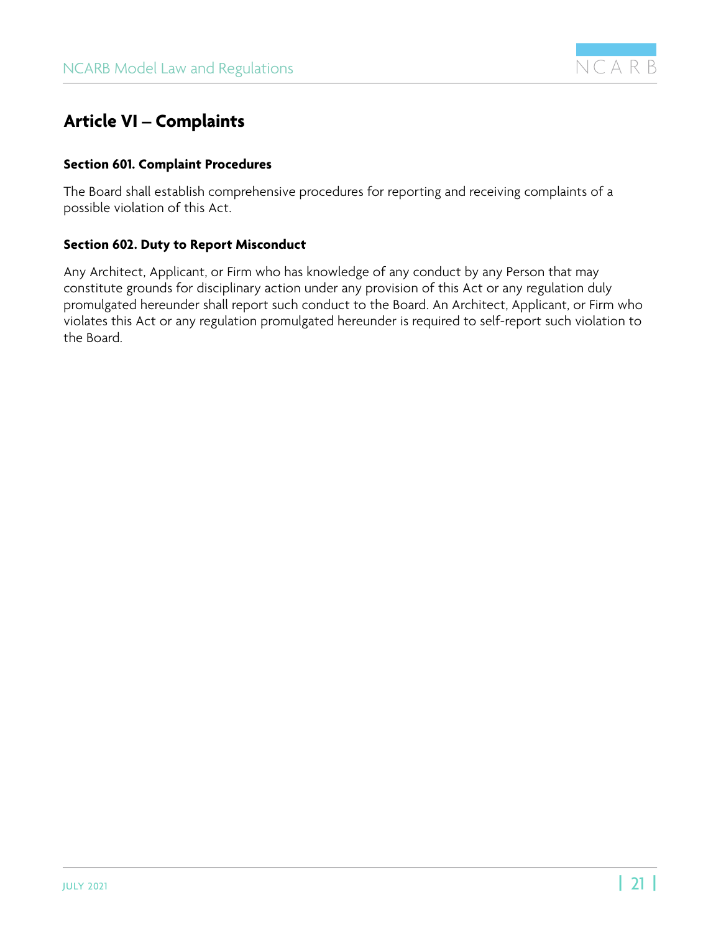

## <span id="page-20-0"></span>**Article VI – Complaints**

#### **Section 601. Complaint Procedures**

The Board shall establish comprehensive procedures for reporting and receiving complaints of a possible violation of this Act.

#### **Section 602. Duty to Report Misconduct**

Any Architect, Applicant, or Firm who has knowledge of any conduct by any Person that may constitute grounds for disciplinary action under any provision of this Act or any regulation duly promulgated hereunder shall report such conduct to the Board. An Architect, Applicant, or Firm who violates this Act or any regulation promulgated hereunder is required to self-report such violation to the Board.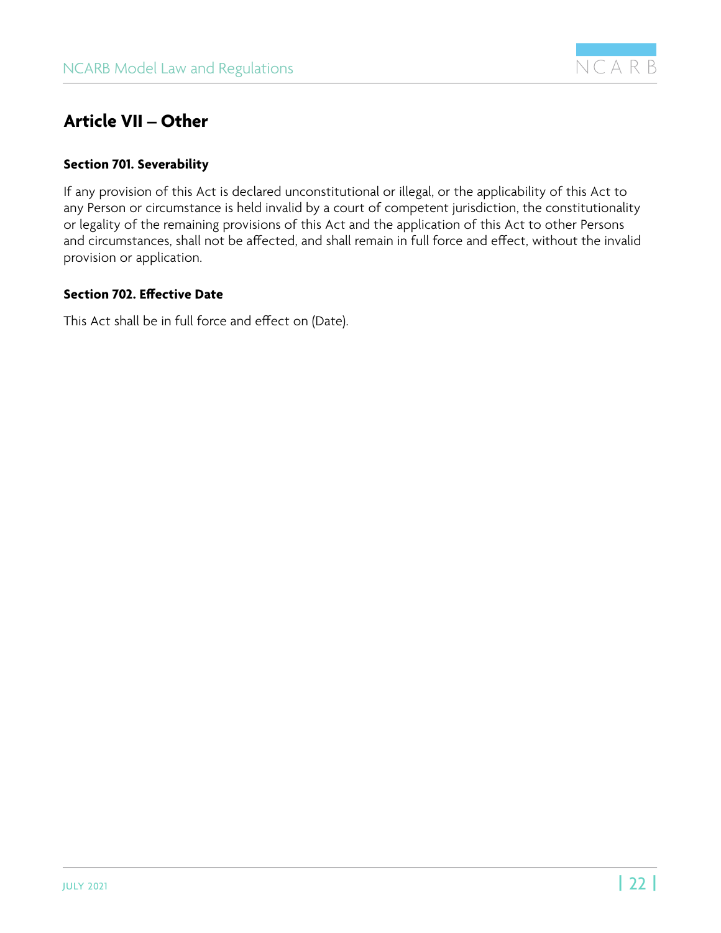

## <span id="page-21-0"></span>**Article VII – Other**

#### **Section 701. Severability**

If any provision of this Act is declared unconstitutional or illegal, or the applicability of this Act to any Person or circumstance is held invalid by a court of competent jurisdiction, the constitutionality or legality of the remaining provisions of this Act and the application of this Act to other Persons and circumstances, shall not be affected, and shall remain in full force and effect, without the invalid provision or application.

#### **Section 702. Effective Date**

This Act shall be in full force and effect on (Date).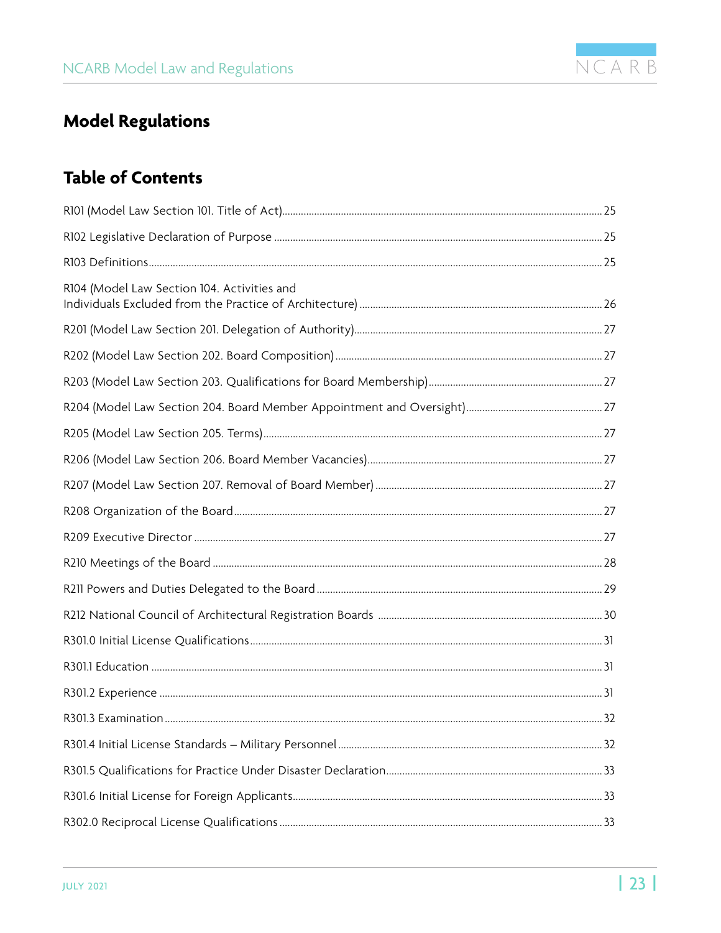

## <span id="page-22-0"></span>**Model Regulations**

## **Table of Contents**

| R104 (Model Law Section 104. Activities and |  |
|---------------------------------------------|--|
|                                             |  |
|                                             |  |
|                                             |  |
|                                             |  |
|                                             |  |
|                                             |  |
|                                             |  |
|                                             |  |
|                                             |  |
|                                             |  |
|                                             |  |
|                                             |  |
|                                             |  |
|                                             |  |
|                                             |  |
|                                             |  |
|                                             |  |
|                                             |  |
|                                             |  |
|                                             |  |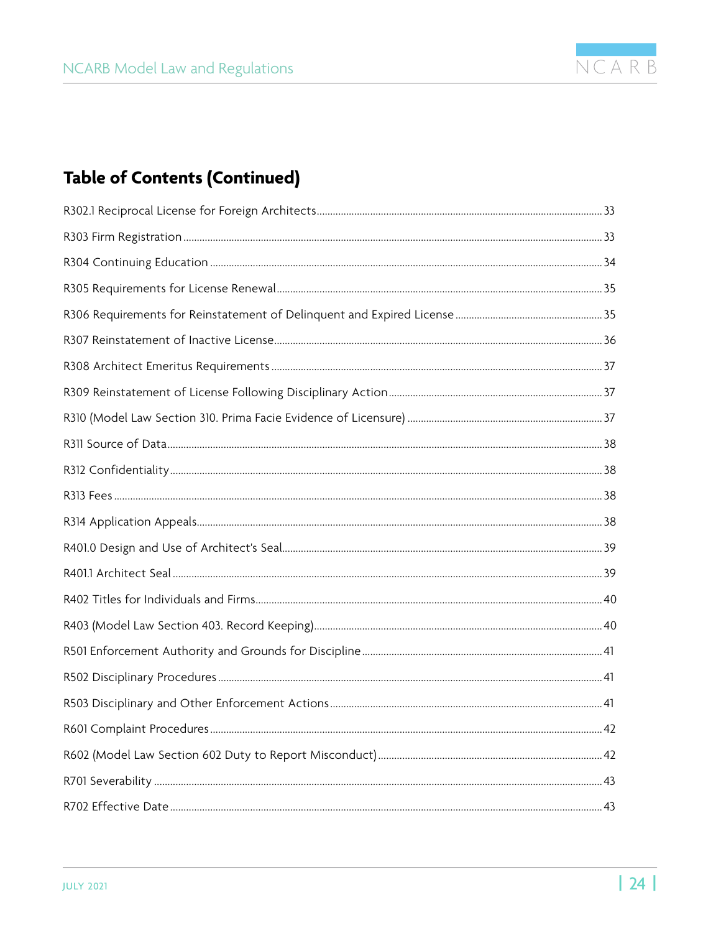

## **Table of Contents (Continued)**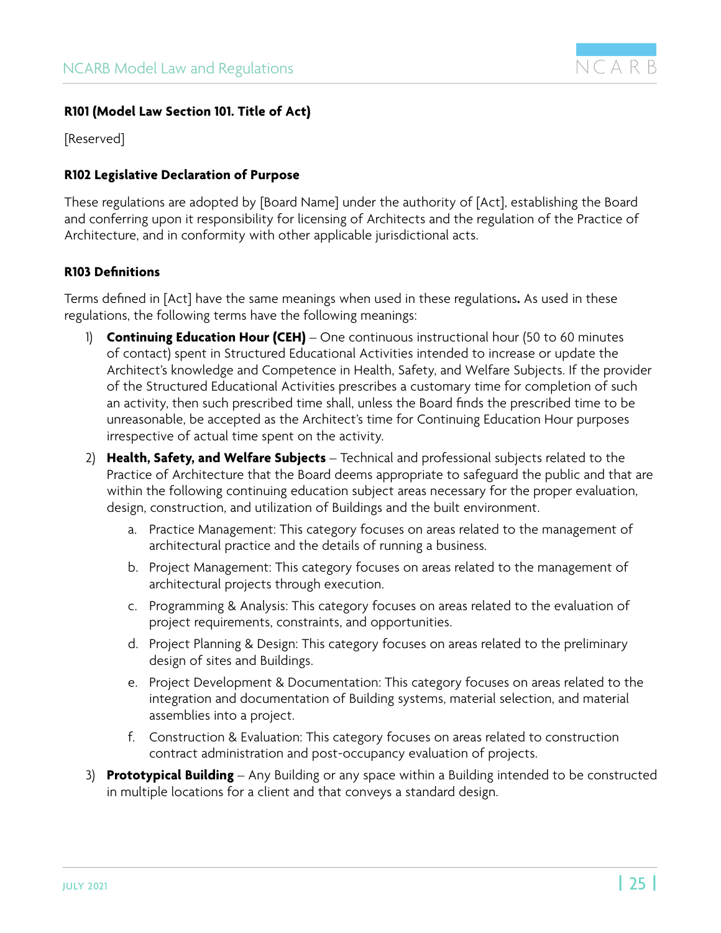

#### <span id="page-24-0"></span>**R101 (Model Law Section 101. Title of Act)**

[Reserved]

#### **R102 Legislative Declaration of Purpose**

These regulations are adopted by [Board Name] under the authority of [Act], establishing the Board and conferring upon it responsibility for licensing of Architects and the regulation of the Practice of Architecture, and in conformity with other applicable jurisdictional acts.

#### **R103 Definitions**

Terms defined in [Act] have the same meanings when used in these regulations**.** As used in these regulations, the following terms have the following meanings:

- 1) **Continuing Education Hour (CEH)** One continuous instructional hour (50 to 60 minutes of contact) spent in Structured Educational Activities intended to increase or update the Architect's knowledge and Competence in Health, Safety, and Welfare Subjects. If the provider of the Structured Educational Activities prescribes a customary time for completion of such an activity, then such prescribed time shall, unless the Board finds the prescribed time to be unreasonable, be accepted as the Architect's time for Continuing Education Hour purposes irrespective of actual time spent on the activity.
- 2) **Health, Safety, and Welfare Subjects** Technical and professional subjects related to the Practice of Architecture that the Board deems appropriate to safeguard the public and that are within the following continuing education subject areas necessary for the proper evaluation, design, construction, and utilization of Buildings and the built environment.
	- a. Practice Management: This category focuses on areas related to the management of architectural practice and the details of running a business.
	- b. Project Management: This category focuses on areas related to the management of architectural projects through execution.
	- c. Programming & Analysis: This category focuses on areas related to the evaluation of project requirements, constraints, and opportunities.
	- d. Project Planning & Design: This category focuses on areas related to the preliminary design of sites and Buildings.
	- e. Project Development & Documentation: This category focuses on areas related to the integration and documentation of Building systems, material selection, and material assemblies into a project.
	- f. Construction & Evaluation: This category focuses on areas related to construction contract administration and post-occupancy evaluation of projects.
- 3) **Prototypical Building** Any Building or any space within a Building intended to be constructed in multiple locations for a client and that conveys a standard design.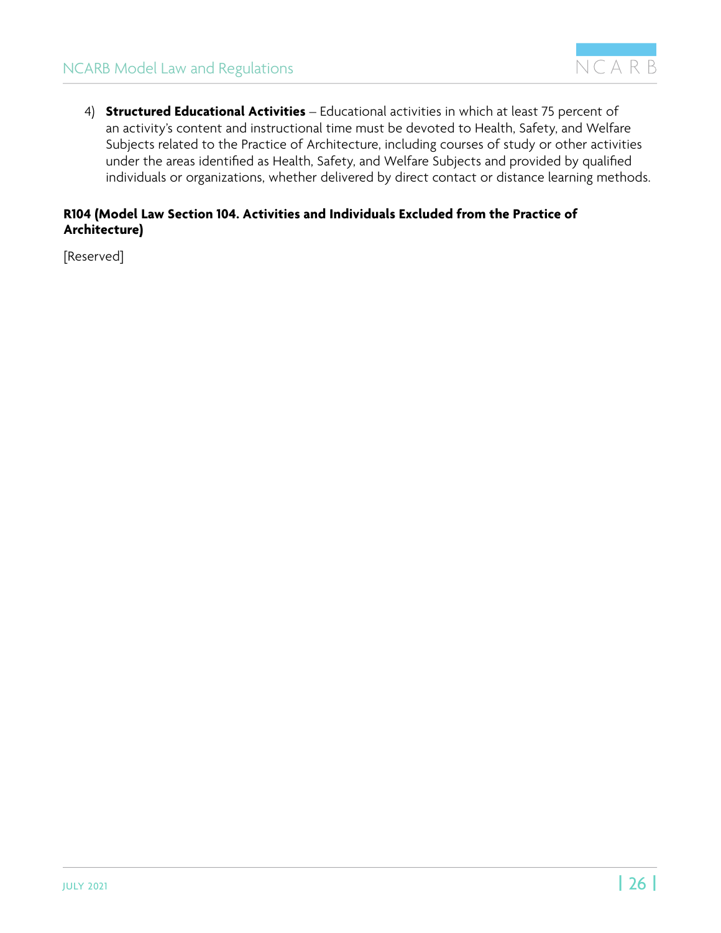<span id="page-25-0"></span>4) **Structured Educational Activities** – Educational activities in which at least 75 percent of an activity's content and instructional time must be devoted to Health, Safety, and Welfare Subjects related to the Practice of Architecture, including courses of study or other activities under the areas identified as Health, Safety, and Welfare Subjects and provided by qualified individuals or organizations, whether delivered by direct contact or distance learning methods.

#### **R104 (Model Law Section 104. Activities and Individuals Excluded from the Practice of Architecture)**

[Reserved]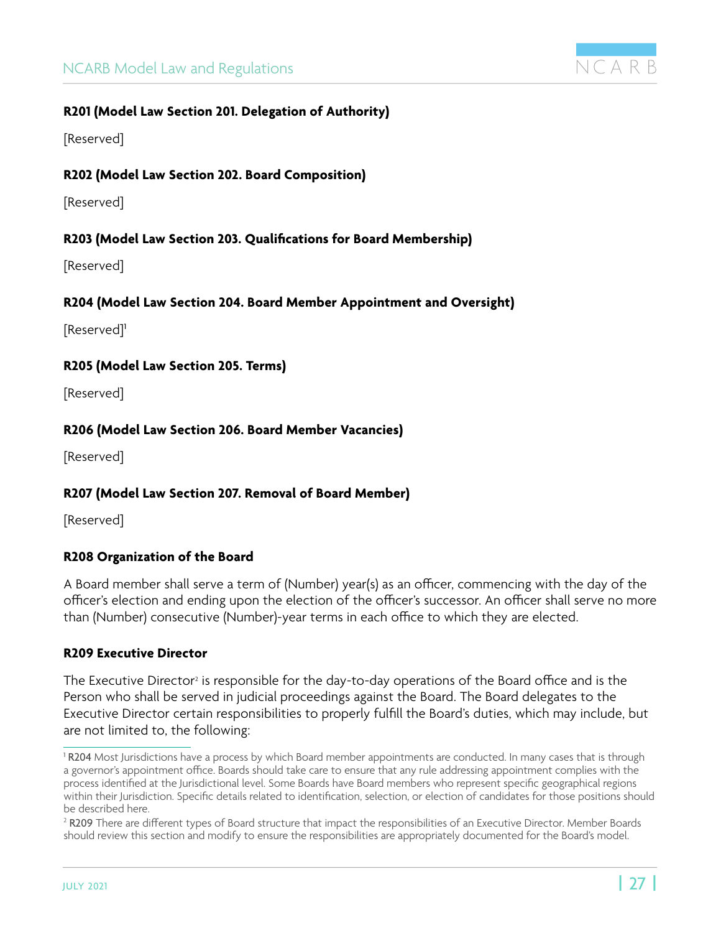

#### <span id="page-26-0"></span>**R201 (Model Law Section 201. Delegation of Authority)**

[Reserved]

#### **R202 (Model Law Section 202. Board Composition)**

[Reserved]

#### **R203 (Model Law Section 203. Qualifications for Board Membership)**

[Reserved]

#### **R204 (Model Law Section 204. Board Member Appointment and Oversight)**

[Reserved]<sup>1</sup>

#### **R205 (Model Law Section 205. Terms)**

[Reserved]

#### **R206 (Model Law Section 206. Board Member Vacancies)**

[Reserved]

#### **R207 (Model Law Section 207. Removal of Board Member)**

[Reserved]

#### **R208 Organization of the Board**

A Board member shall serve a term of (Number) year(s) as an officer, commencing with the day of the officer's election and ending upon the election of the officer's successor. An officer shall serve no more than (Number) consecutive (Number)-year terms in each office to which they are elected.

#### **R209 Executive Director**

The Executive Director $^{\scriptscriptstyle 2}$  is responsible for the day-to-day operations of the Board office and is the Person who shall be served in judicial proceedings against the Board. The Board delegates to the Executive Director certain responsibilities to properly fulfill the Board's duties, which may include, but are not limited to, the following:

<sup>&</sup>lt;sup>1</sup> R204 Most Jurisdictions have a process by which Board member appointments are conducted. In many cases that is through a governor's appointment office. Boards should take care to ensure that any rule addressing appointment complies with the process identified at the Jurisdictional level. Some Boards have Board members who represent specific geographical regions within their Jurisdiction. Specific details related to identification, selection, or election of candidates for those positions should be described here.

<sup>&</sup>lt;sup>2</sup> **R209** There are different types of Board structure that impact the responsibilities of an Executive Director. Member Boards should review this section and modify to ensure the responsibilities are appropriately documented for the Board's model.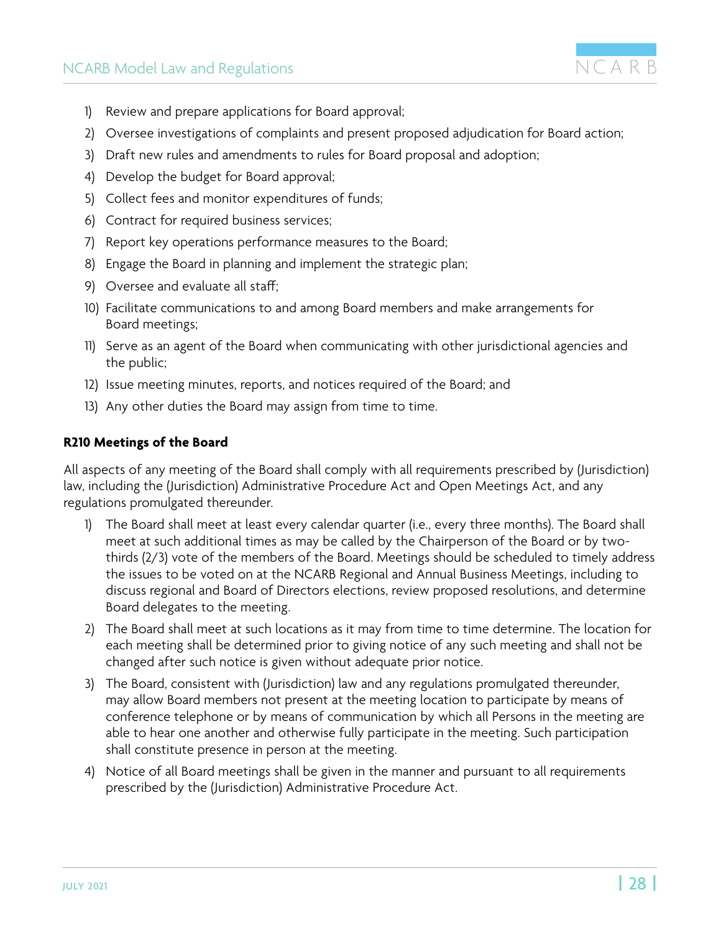

- <span id="page-27-0"></span>1) Review and prepare applications for Board approval;
- 2) Oversee investigations of complaints and present proposed adjudication for Board action;
- 3) Draft new rules and amendments to rules for Board proposal and adoption;
- 4) Develop the budget for Board approval;
- 5) Collect fees and monitor expenditures of funds;
- 6) Contract for required business services;
- 7) Report key operations performance measures to the Board;
- 8) Engage the Board in planning and implement the strategic plan;
- 9) Oversee and evaluate all staff;
- 10) Facilitate communications to and among Board members and make arrangements for Board meetings;
- 11) Serve as an agent of the Board when communicating with other jurisdictional agencies and the public;
- 12) Issue meeting minutes, reports, and notices required of the Board; and
- 13) Any other duties the Board may assign from time to time.

#### **R210 Meetings of the Board**

All aspects of any meeting of the Board shall comply with all requirements prescribed by (Jurisdiction) law, including the (Jurisdiction) Administrative Procedure Act and Open Meetings Act, and any regulations promulgated thereunder.

- 1) The Board shall meet at least every calendar quarter (i.e., every three months). The Board shall meet at such additional times as may be called by the Chairperson of the Board or by twothirds (2/3) vote of the members of the Board. Meetings should be scheduled to timely address the issues to be voted on at the NCARB Regional and Annual Business Meetings, including to discuss regional and Board of Directors elections, review proposed resolutions, and determine Board delegates to the meeting.
- 2) The Board shall meet at such locations as it may from time to time determine. The location for each meeting shall be determined prior to giving notice of any such meeting and shall not be changed after such notice is given without adequate prior notice.
- 3) The Board, consistent with (Jurisdiction) law and any regulations promulgated thereunder, may allow Board members not present at the meeting location to participate by means of conference telephone or by means of communication by which all Persons in the meeting are able to hear one another and otherwise fully participate in the meeting. Such participation shall constitute presence in person at the meeting.
- 4) Notice of all Board meetings shall be given in the manner and pursuant to all requirements prescribed by the (Jurisdiction) Administrative Procedure Act.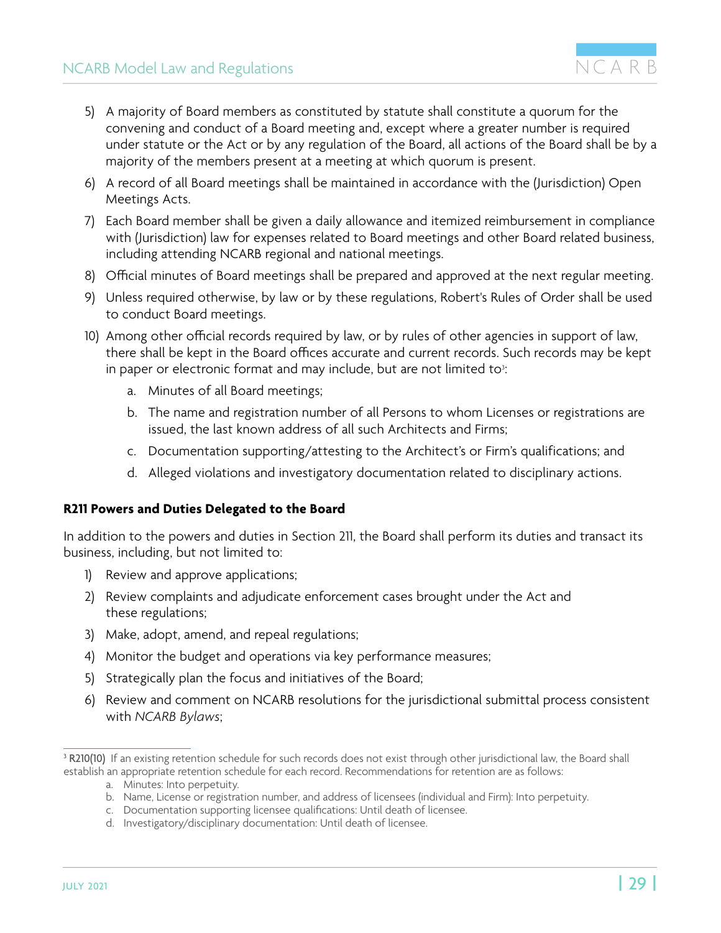- <span id="page-28-0"></span>5) A majority of Board members as constituted by statute shall constitute a quorum for the convening and conduct of a Board meeting and, except where a greater number is required under statute or the Act or by any regulation of the Board, all actions of the Board shall be by a majority of the members present at a meeting at which quorum is present.
- 6) A record of all Board meetings shall be maintained in accordance with the (Jurisdiction) Open Meetings Acts.
- 7) Each Board member shall be given a daily allowance and itemized reimbursement in compliance with (Jurisdiction) law for expenses related to Board meetings and other Board related business, including attending NCARB regional and national meetings.
- 8) Official minutes of Board meetings shall be prepared and approved at the next regular meeting.
- 9) Unless required otherwise, by law or by these regulations, Robert's Rules of Order shall be used to conduct Board meetings.
- 10) Among other official records required by law, or by rules of other agencies in support of law, there shall be kept in the Board offices accurate and current records. Such records may be kept in paper or electronic format and may include, but are not limited to $\cdot$ :
	- a. Minutes of all Board meetings;
	- b. The name and registration number of all Persons to whom Licenses or registrations are issued, the last known address of all such Architects and Firms;
	- c. Documentation supporting/attesting to the Architect's or Firm's qualifications; and
	- d. Alleged violations and investigatory documentation related to disciplinary actions.

#### **R211 Powers and Duties Delegated to the Board**

In addition to the powers and duties in Section 211, the Board shall perform its duties and transact its business, including, but not limited to:

- 1) Review and approve applications;
- 2) Review complaints and adjudicate enforcement cases brought under the Act and these regulations;
- 3) Make, adopt, amend, and repeal regulations;
- 4) Monitor the budget and operations via key performance measures;
- 5) Strategically plan the focus and initiatives of the Board;
- 6) Review and comment on NCARB resolutions for the jurisdictional submittal process consistent with *NCARB Bylaws*;

- a. Minutes: Into perpetuity.
- b. Name, License or registration number, and address of licensees (individual and Firm): Into perpetuity.
- c. Documentation supporting licensee qualifications: Until death of licensee.
- d. Investigatory/disciplinary documentation: Until death of licensee.

NCARR

<sup>3</sup> R210(10) If an existing retention schedule for such records does not exist through other jurisdictional law, the Board shall establish an appropriate retention schedule for each record. Recommendations for retention are as follows: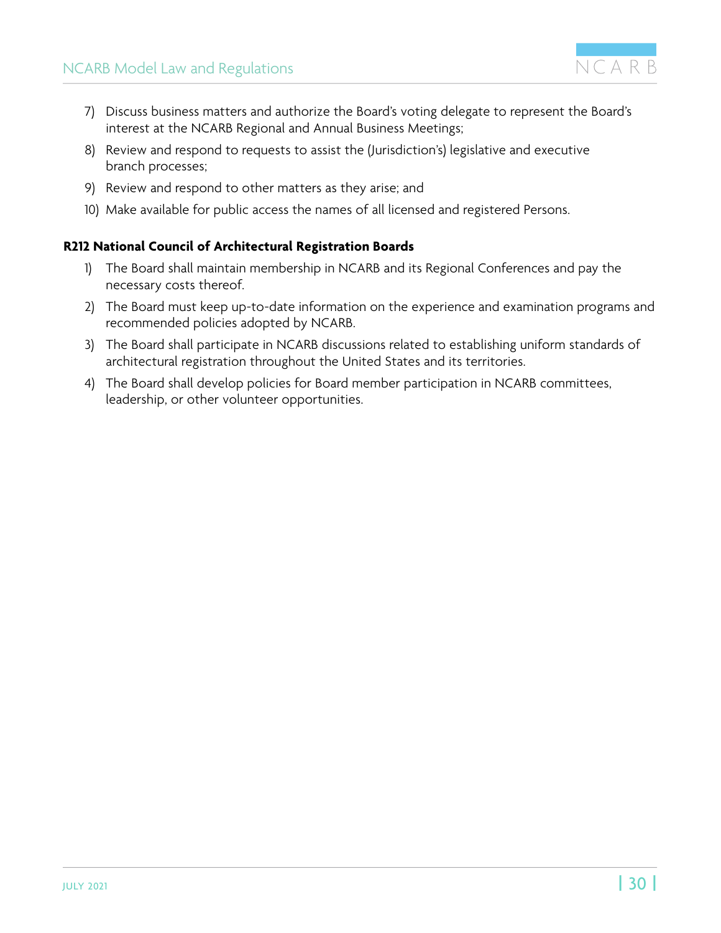

- <span id="page-29-0"></span>7) Discuss business matters and authorize the Board's voting delegate to represent the Board's interest at the NCARB Regional and Annual Business Meetings;
- 8) Review and respond to requests to assist the (Jurisdiction's) legislative and executive branch processes;
- 9) Review and respond to other matters as they arise; and
- 10) Make available for public access the names of all licensed and registered Persons.

#### **R212 National Council of Architectural Registration Boards**

- 1) The Board shall maintain membership in NCARB and its Regional Conferences and pay the necessary costs thereof.
- 2) The Board must keep up-to-date information on the experience and examination programs and recommended policies adopted by NCARB.
- 3) The Board shall participate in NCARB discussions related to establishing uniform standards of architectural registration throughout the United States and its territories.
- 4) The Board shall develop policies for Board member participation in NCARB committees, leadership, or other volunteer opportunities.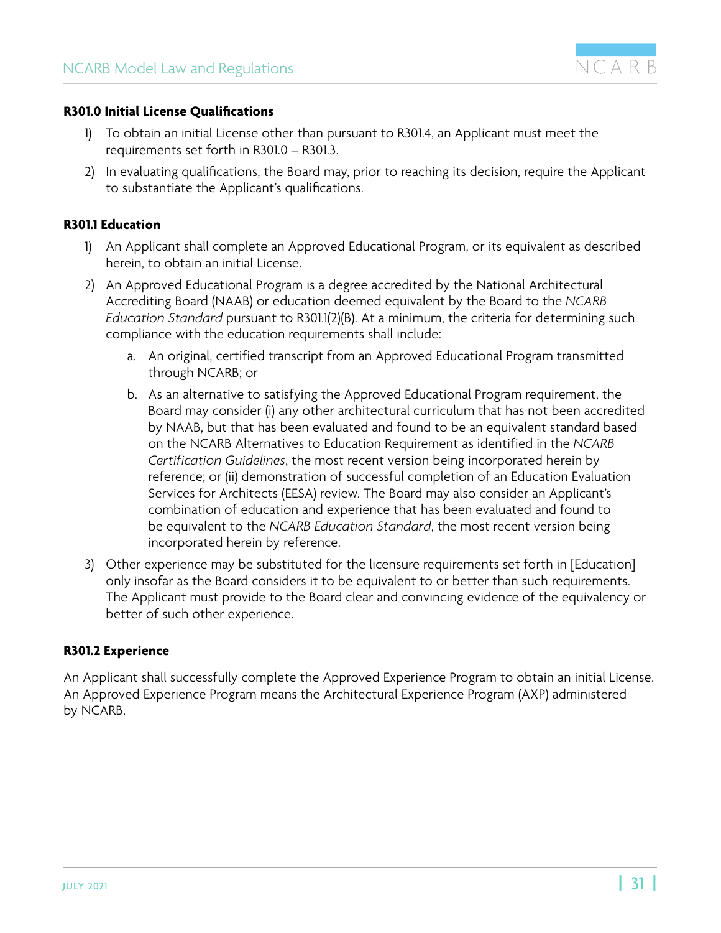

#### <span id="page-30-0"></span>**R301.0 Initial License Qualifications**

- 1) To obtain an initial License other than pursuant to R301.4, an Applicant must meet the requirements set forth in R301.0 – R301.3.
- 2) In evaluating qualifications, the Board may, prior to reaching its decision, require the Applicant to substantiate the Applicant's qualifications.

#### **R301.1 Education**

- 1) An Applicant shall complete an Approved Educational Program, or its equivalent as described herein, to obtain an initial License.
- 2) An Approved Educational Program is a degree accredited by the National Architectural Accrediting Board (NAAB) or education deemed equivalent by the Board to the *NCARB Education Standard* pursuant to R301.1(2)(B). At a minimum, the criteria for determining such compliance with the education requirements shall include:
	- a. An original, certified transcript from an Approved Educational Program transmitted through NCARB; or
	- b. As an alternative to satisfying the Approved Educational Program requirement, the Board may consider (i) any other architectural curriculum that has not been accredited by NAAB, but that has been evaluated and found to be an equivalent standard based on the NCARB Alternatives to Education Requirement as identified in the *NCARB Certification Guidelines*, the most recent version being incorporated herein by reference; or (ii) demonstration of successful completion of an Education Evaluation Services for Architects (EESA) review. The Board may also consider an Applicant's combination of education and experience that has been evaluated and found to be equivalent to the *NCARB Education Standard*, the most recent version being incorporated herein by reference.
- 3) Other experience may be substituted for the licensure requirements set forth in [Education] only insofar as the Board considers it to be equivalent to or better than such requirements. The Applicant must provide to the Board clear and convincing evidence of the equivalency or better of such other experience.

#### **R301.2 Experience**

An Applicant shall successfully complete the Approved Experience Program to obtain an initial License. An Approved Experience Program means the Architectural Experience Program (AXP) administered by NCARB.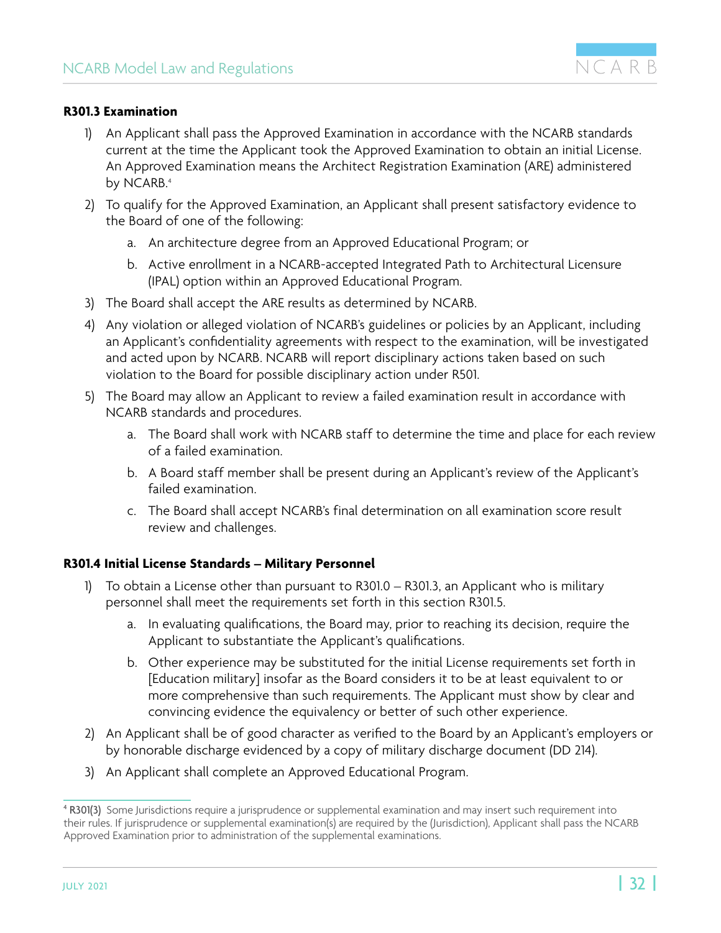

#### <span id="page-31-0"></span>**R301.3 Examination**

- 1) An Applicant shall pass the Approved Examination in accordance with the NCARB standards current at the time the Applicant took the Approved Examination to obtain an initial License. An Approved Examination means the Architect Registration Examination (ARE) administered by NCARB.<sup>4</sup>
- 2) To qualify for the Approved Examination, an Applicant shall present satisfactory evidence to the Board of one of the following:
	- a. An architecture degree from an Approved Educational Program; or
	- b. Active enrollment in a NCARB-accepted Integrated Path to Architectural Licensure (IPAL) option within an Approved Educational Program.
- 3) The Board shall accept the ARE results as determined by NCARB.
- 4) Any violation or alleged violation of NCARB's guidelines or policies by an Applicant, including an Applicant's confidentiality agreements with respect to the examination, will be investigated and acted upon by NCARB. NCARB will report disciplinary actions taken based on such violation to the Board for possible disciplinary action under R501.
- 5) The Board may allow an Applicant to review a failed examination result in accordance with NCARB standards and procedures.
	- a. The Board shall work with NCARB staff to determine the time and place for each review of a failed examination.
	- b. A Board staff member shall be present during an Applicant's review of the Applicant's failed examination.
	- c. The Board shall accept NCARB's final determination on all examination score result review and challenges.

#### **R301.4 Initial License Standards – Military Personnel**

- 1) To obtain a License other than pursuant to R301.0 R301.3, an Applicant who is military personnel shall meet the requirements set forth in this section R301.5.
	- a. In evaluating qualifications, the Board may, prior to reaching its decision, require the Applicant to substantiate the Applicant's qualifications.
	- b. Other experience may be substituted for the initial License requirements set forth in [Education military] insofar as the Board considers it to be at least equivalent to or more comprehensive than such requirements. The Applicant must show by clear and convincing evidence the equivalency or better of such other experience.
- 2) An Applicant shall be of good character as verified to the Board by an Applicant's employers or by honorable discharge evidenced by a copy of military discharge document (DD 214).
- 3) An Applicant shall complete an Approved Educational Program.

<sup>4</sup> R301(3) Some Jurisdictions require a jurisprudence or supplemental examination and may insert such requirement into their rules. If jurisprudence or supplemental examination(s) are required by the (Jurisdiction), Applicant shall pass the NCARB Approved Examination prior to administration of the supplemental examinations.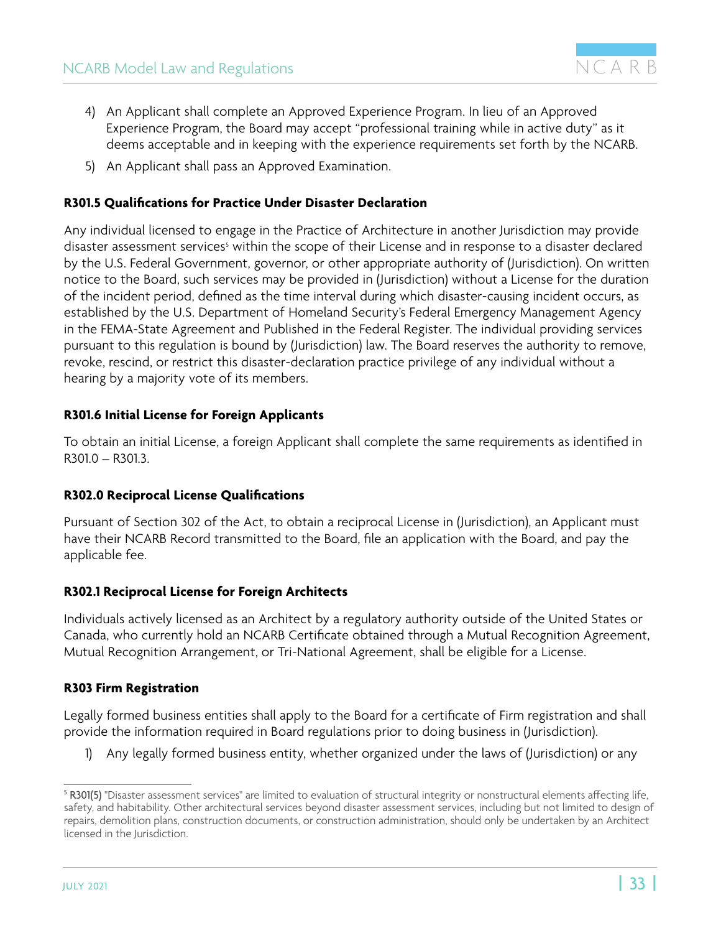- <span id="page-32-0"></span>4) An Applicant shall complete an Approved Experience Program. In lieu of an Approved Experience Program, the Board may accept "professional training while in active duty" as it deems acceptable and in keeping with the experience requirements set forth by the NCARB.
- 5) An Applicant shall pass an Approved Examination.

#### **R301.5 Qualifications for Practice Under Disaster Declaration**

Any individual licensed to engage in the Practice of Architecture in another Jurisdiction may provide disaster assessment services<sup>s</sup> within the scope of their License and in response to a disaster declared by the U.S. Federal Government, governor, or other appropriate authority of (Jurisdiction). On written notice to the Board, such services may be provided in (Jurisdiction) without a License for the duration of the incident period, defined as the time interval during which disaster-causing incident occurs, as established by the U.S. Department of Homeland Security's Federal Emergency Management Agency in the FEMA-State Agreement and Published in the Federal Register. The individual providing services pursuant to this regulation is bound by (Jurisdiction) law. The Board reserves the authority to remove, revoke, rescind, or restrict this disaster-declaration practice privilege of any individual without a hearing by a majority vote of its members.

#### **R301.6 Initial License for Foreign Applicants**

To obtain an initial License, a foreign Applicant shall complete the same requirements as identified in R301.0 – R301.3.

#### **R302.0 Reciprocal License Qualifications**

Pursuant of Section 302 of the Act, to obtain a reciprocal License in (Jurisdiction), an Applicant must have their NCARB Record transmitted to the Board, file an application with the Board, and pay the applicable fee.

#### **R302.1 Reciprocal License for Foreign Architects**

Individuals actively licensed as an Architect by a regulatory authority outside of the United States or Canada, who currently hold an NCARB Certificate obtained through a Mutual Recognition Agreement, Mutual Recognition Arrangement, or Tri-National Agreement, shall be eligible for a License.

#### **R303 Firm Registration**

Legally formed business entities shall apply to the Board for a certificate of Firm registration and shall provide the information required in Board regulations prior to doing business in (Jurisdiction).

1) Any legally formed business entity, whether organized under the laws of (Jurisdiction) or any

<sup>&</sup>lt;sup>5</sup> **R301(5)** "Disaster assessment services" are limited to evaluation of structural integrity or nonstructural elements affecting life, safety, and habitability. Other architectural services beyond disaster assessment services, including but not limited to design of repairs, demolition plans, construction documents, or construction administration, should only be undertaken by an Architect licensed in the Jurisdiction.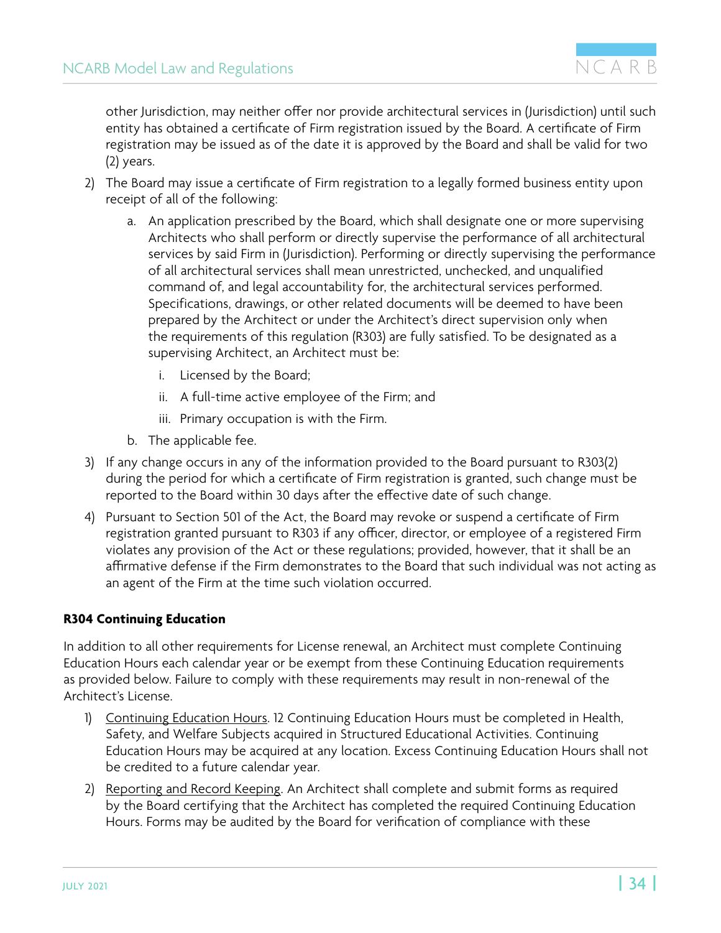<span id="page-33-0"></span>other Jurisdiction, may neither offer nor provide architectural services in (Jurisdiction) until such entity has obtained a certificate of Firm registration issued by the Board. A certificate of Firm registration may be issued as of the date it is approved by the Board and shall be valid for two (2) years.

- 2) The Board may issue a certificate of Firm registration to a legally formed business entity upon receipt of all of the following:
	- a. An application prescribed by the Board, which shall designate one or more supervising Architects who shall perform or directly supervise the performance of all architectural services by said Firm in (Jurisdiction). Performing or directly supervising the performance of all architectural services shall mean unrestricted, unchecked, and unqualified command of, and legal accountability for, the architectural services performed. Specifications, drawings, or other related documents will be deemed to have been prepared by the Architect or under the Architect's direct supervision only when the requirements of this regulation (R303) are fully satisfied. To be designated as a supervising Architect, an Architect must be:
		- i. Licensed by the Board;
		- ii. A full-time active employee of the Firm; and
		- iii. Primary occupation is with the Firm.
	- b. The applicable fee.
- 3) If any change occurs in any of the information provided to the Board pursuant to R303(2) during the period for which a certificate of Firm registration is granted, such change must be reported to the Board within 30 days after the effective date of such change.
- 4) Pursuant to Section 501 of the Act, the Board may revoke or suspend a certificate of Firm registration granted pursuant to R303 if any officer, director, or employee of a registered Firm violates any provision of the Act or these regulations; provided, however, that it shall be an affirmative defense if the Firm demonstrates to the Board that such individual was not acting as an agent of the Firm at the time such violation occurred.

#### **R304 Continuing Education**

In addition to all other requirements for License renewal, an Architect must complete Continuing Education Hours each calendar year or be exempt from these Continuing Education requirements as provided below. Failure to comply with these requirements may result in non-renewal of the Architect's License.

- 1) Continuing Education Hours. 12 Continuing Education Hours must be completed in Health, Safety, and Welfare Subjects acquired in Structured Educational Activities. Continuing Education Hours may be acquired at any location. Excess Continuing Education Hours shall not be credited to a future calendar year.
- 2) Reporting and Record Keeping. An Architect shall complete and submit forms as required by the Board certifying that the Architect has completed the required Continuing Education Hours. Forms may be audited by the Board for verification of compliance with these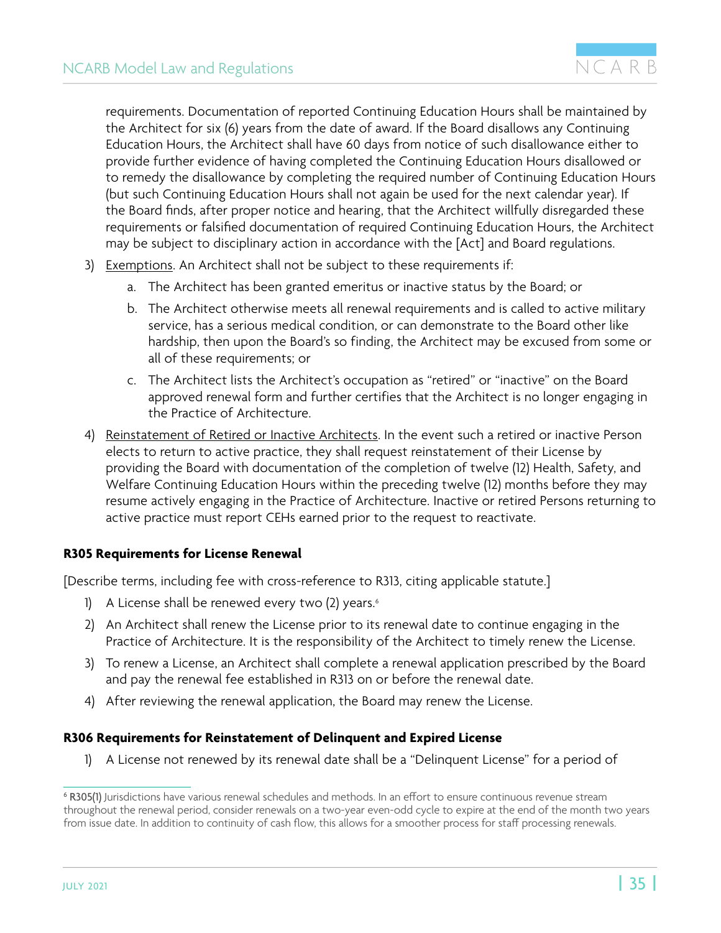<span id="page-34-0"></span>requirements. Documentation of reported Continuing Education Hours shall be maintained by the Architect for six (6) years from the date of award. If the Board disallows any Continuing Education Hours, the Architect shall have 60 days from notice of such disallowance either to provide further evidence of having completed the Continuing Education Hours disallowed or to remedy the disallowance by completing the required number of Continuing Education Hours (but such Continuing Education Hours shall not again be used for the next calendar year). If the Board finds, after proper notice and hearing, that the Architect willfully disregarded these requirements or falsified documentation of required Continuing Education Hours, the Architect may be subject to disciplinary action in accordance with the [Act] and Board regulations.

- 3) Exemptions. An Architect shall not be subject to these requirements if:
	- a. The Architect has been granted emeritus or inactive status by the Board; or
	- b. The Architect otherwise meets all renewal requirements and is called to active military service, has a serious medical condition, or can demonstrate to the Board other like hardship, then upon the Board's so finding, the Architect may be excused from some or all of these requirements; or
	- c. The Architect lists the Architect's occupation as "retired" or "inactive" on the Board approved renewal form and further certifies that the Architect is no longer engaging in the Practice of Architecture.
- 4) Reinstatement of Retired or Inactive Architects. In the event such a retired or inactive Person elects to return to active practice, they shall request reinstatement of their License by providing the Board with documentation of the completion of twelve (12) Health, Safety, and Welfare Continuing Education Hours within the preceding twelve (12) months before they may resume actively engaging in the Practice of Architecture. Inactive or retired Persons returning to active practice must report CEHs earned prior to the request to reactivate.

#### **R305 Requirements for License Renewal**

[Describe terms, including fee with cross-reference to R313, citing applicable statute.]

- 1) A License shall be renewed every two (2) years.<sup>6</sup>
- 2) An Architect shall renew the License prior to its renewal date to continue engaging in the Practice of Architecture. It is the responsibility of the Architect to timely renew the License.
- 3) To renew a License, an Architect shall complete a renewal application prescribed by the Board and pay the renewal fee established in R313 on or before the renewal date.
- 4) After reviewing the renewal application, the Board may renew the License.

#### **R306 Requirements for Reinstatement of Delinquent and Expired License**

1) A License not renewed by its renewal date shall be a "Delinquent License" for a period of

<sup>6</sup> R305(1) Jurisdictions have various renewal schedules and methods. In an effort to ensure continuous revenue stream throughout the renewal period, consider renewals on a two-year even-odd cycle to expire at the end of the month two years from issue date. In addition to continuity of cash flow, this allows for a smoother process for staff processing renewals.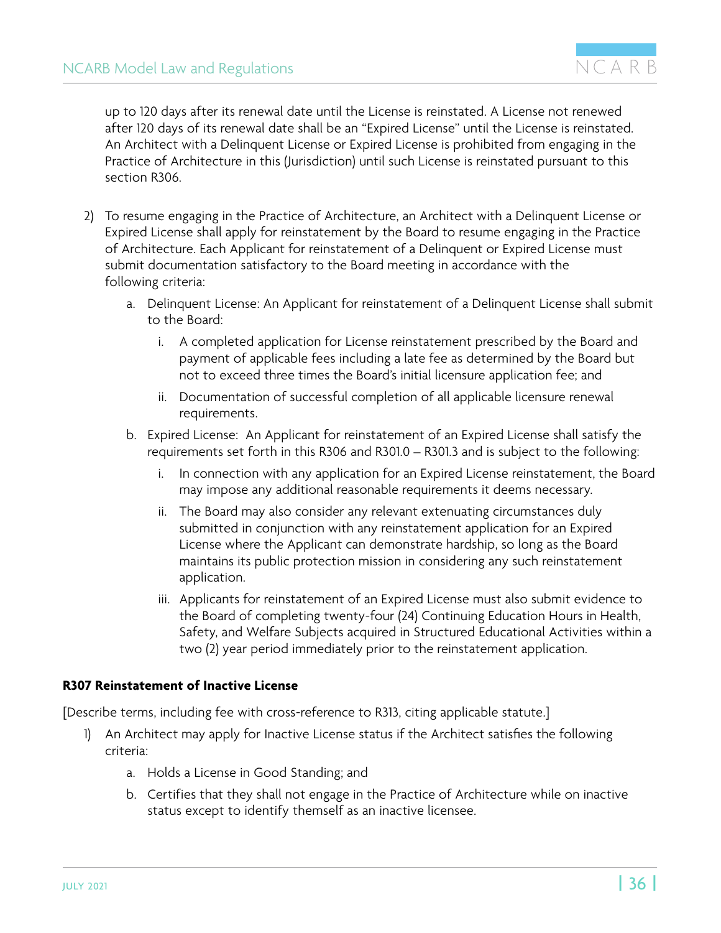<span id="page-35-0"></span>up to 120 days after its renewal date until the License is reinstated. A License not renewed after 120 days of its renewal date shall be an "Expired License" until the License is reinstated. An Architect with a Delinquent License or Expired License is prohibited from engaging in the Practice of Architecture in this (Jurisdiction) until such License is reinstated pursuant to this section R306.

- 2) To resume engaging in the Practice of Architecture, an Architect with a Delinquent License or Expired License shall apply for reinstatement by the Board to resume engaging in the Practice of Architecture. Each Applicant for reinstatement of a Delinquent or Expired License must submit documentation satisfactory to the Board meeting in accordance with the following criteria:
	- a. Delinquent License: An Applicant for reinstatement of a Delinquent License shall submit to the Board:
		- i. A completed application for License reinstatement prescribed by the Board and payment of applicable fees including a late fee as determined by the Board but not to exceed three times the Board's initial licensure application fee; and
		- ii. Documentation of successful completion of all applicable licensure renewal requirements.
	- b. Expired License: An Applicant for reinstatement of an Expired License shall satisfy the requirements set forth in this R306 and R301.0 – R301.3 and is subject to the following:
		- i. In connection with any application for an Expired License reinstatement, the Board may impose any additional reasonable requirements it deems necessary.
		- ii. The Board may also consider any relevant extenuating circumstances duly submitted in conjunction with any reinstatement application for an Expired License where the Applicant can demonstrate hardship, so long as the Board maintains its public protection mission in considering any such reinstatement application.
		- iii. Applicants for reinstatement of an Expired License must also submit evidence to the Board of completing twenty-four (24) Continuing Education Hours in Health, Safety, and Welfare Subjects acquired in Structured Educational Activities within a two (2) year period immediately prior to the reinstatement application.

#### **R307 Reinstatement of Inactive License**

[Describe terms, including fee with cross-reference to R313, citing applicable statute.]

- 1) An Architect may apply for Inactive License status if the Architect satisfies the following criteria:
	- a. Holds a License in Good Standing; and
	- b. Certifies that they shall not engage in the Practice of Architecture while on inactive status except to identify themself as an inactive licensee.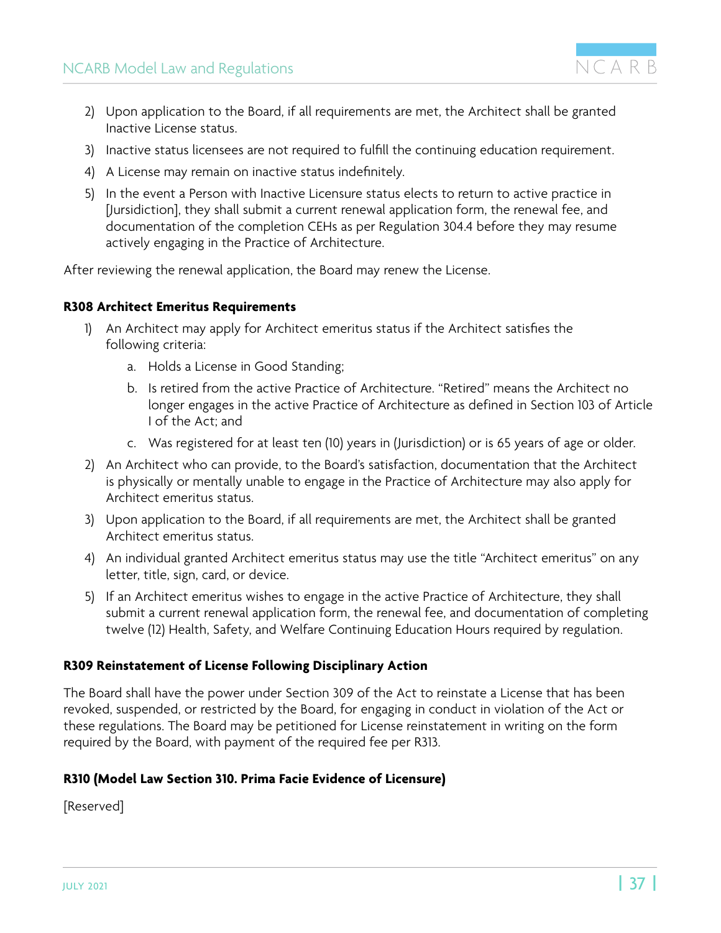

- <span id="page-36-0"></span>2) Upon application to the Board, if all requirements are met, the Architect shall be granted Inactive License status.
- 3) Inactive status licensees are not required to fulfill the continuing education requirement.
- 4) A License may remain on inactive status indefinitely.
- 5) In the event a Person with Inactive Licensure status elects to return to active practice in [Jursidiction], they shall submit a current renewal application form, the renewal fee, and documentation of the completion CEHs as per Regulation 304.4 before they may resume actively engaging in the Practice of Architecture.

After reviewing the renewal application, the Board may renew the License.

#### **R308 Architect Emeritus Requirements**

- 1) An Architect may apply for Architect emeritus status if the Architect satisfies the following criteria:
	- a. Holds a License in Good Standing;
	- b. Is retired from the active Practice of Architecture. "Retired" means the Architect no longer engages in the active Practice of Architecture as defined in Section 103 of Article I of the Act; and
	- c. Was registered for at least ten (10) years in (Jurisdiction) or is 65 years of age or older.
- 2) An Architect who can provide, to the Board's satisfaction, documentation that the Architect is physically or mentally unable to engage in the Practice of Architecture may also apply for Architect emeritus status.
- 3) Upon application to the Board, if all requirements are met, the Architect shall be granted Architect emeritus status.
- 4) An individual granted Architect emeritus status may use the title "Architect emeritus" on any letter, title, sign, card, or device.
- 5) If an Architect emeritus wishes to engage in the active Practice of Architecture, they shall submit a current renewal application form, the renewal fee, and documentation of completing twelve (12) Health, Safety, and Welfare Continuing Education Hours required by regulation.

#### **R309 Reinstatement of License Following Disciplinary Action**

The Board shall have the power under Section 309 of the Act to reinstate a License that has been revoked, suspended, or restricted by the Board, for engaging in conduct in violation of the Act or these regulations. The Board may be petitioned for License reinstatement in writing on the form required by the Board, with payment of the required fee per R313.

#### **R310 (Model Law Section 310. Prima Facie Evidence of Licensure)**

[Reserved]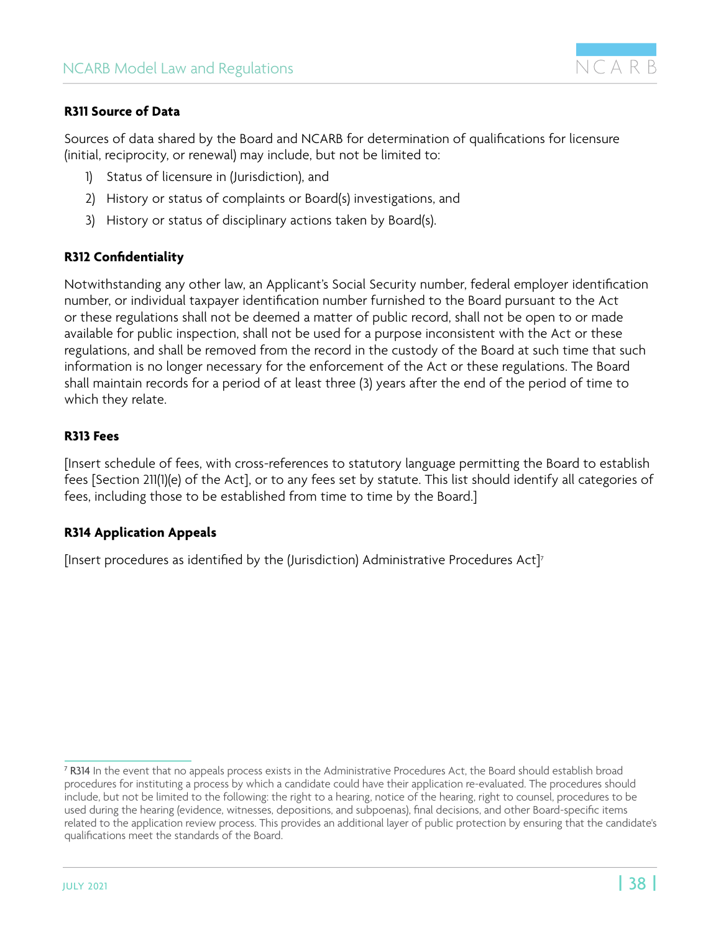

#### <span id="page-37-0"></span>**R311 Source of Data**

Sources of data shared by the Board and NCARB for determination of qualifications for licensure (initial, reciprocity, or renewal) may include, but not be limited to:

- 1) Status of licensure in (Jurisdiction), and
- 2) History or status of complaints or Board(s) investigations, and
- 3) History or status of disciplinary actions taken by Board(s).

#### **R312 Confidentiality**

Notwithstanding any other law, an Applicant's Social Security number, federal employer identification number, or individual taxpayer identification number furnished to the Board pursuant to the Act or these regulations shall not be deemed a matter of public record, shall not be open to or made available for public inspection, shall not be used for a purpose inconsistent with the Act or these regulations, and shall be removed from the record in the custody of the Board at such time that such information is no longer necessary for the enforcement of the Act or these regulations. The Board shall maintain records for a period of at least three (3) years after the end of the period of time to which they relate.

#### **R313 Fees**

[Insert schedule of fees, with cross-references to statutory language permitting the Board to establish fees [Section 211(1)(e) of the Act], or to any fees set by statute. This list should identify all categories of fees, including those to be established from time to time by the Board.]

#### **R314 Application Appeals**

[Insert procedures as identified by the (Jurisdiction) Administrative Procedures Act]<sup>7</sup>

<sup>7</sup> R314 In the event that no appeals process exists in the Administrative Procedures Act, the Board should establish broad procedures for instituting a process by which a candidate could have their application re-evaluated. The procedures should include, but not be limited to the following: the right to a hearing, notice of the hearing, right to counsel, procedures to be used during the hearing (evidence, witnesses, depositions, and subpoenas), final decisions, and other Board-specific items related to the application review process. This provides an additional layer of public protection by ensuring that the candidate's qualifications meet the standards of the Board.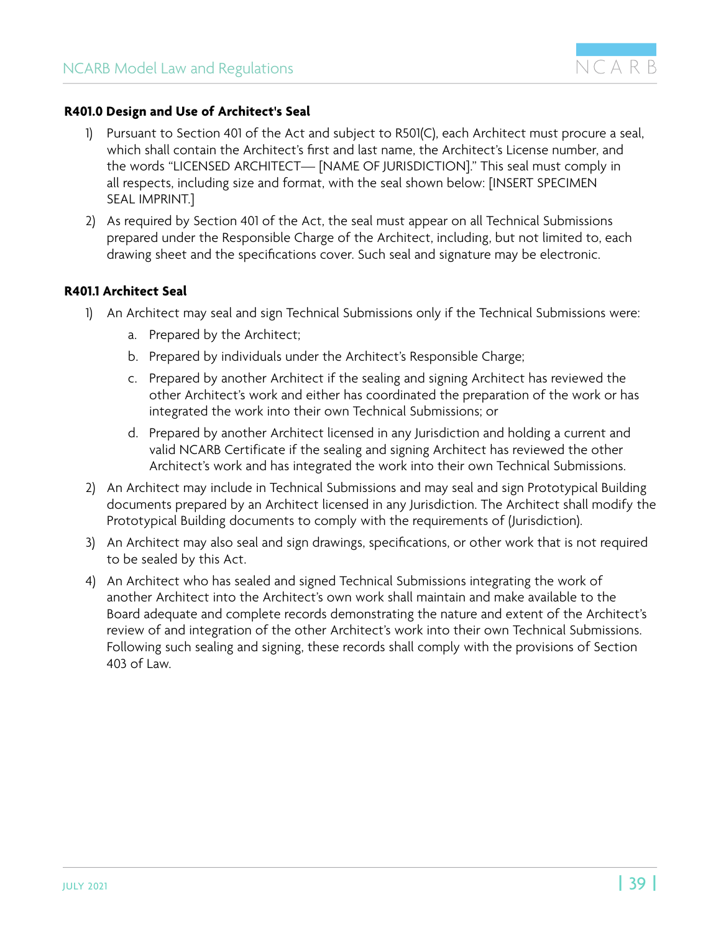

#### <span id="page-38-0"></span>**R401.0 Design and Use of Architect's Seal**

- Pursuant to Section 401 of the Act and subject to R501(C), each Architect must procure a seal, which shall contain the Architect's first and last name, the Architect's License number, and the words "LICENSED ARCHITECT— [NAME OF JURISDICTION]." This seal must comply in all respects, including size and format, with the seal shown below: [INSERT SPECIMEN SEAL IMPRINT.]
- 2) As required by Section 401 of the Act, the seal must appear on all Technical Submissions prepared under the Responsible Charge of the Architect, including, but not limited to, each drawing sheet and the specifications cover. Such seal and signature may be electronic.

#### **R401.1 Architect Seal**

- 1) An Architect may seal and sign Technical Submissions only if the Technical Submissions were:
	- a. Prepared by the Architect;
	- b. Prepared by individuals under the Architect's Responsible Charge;
	- c. Prepared by another Architect if the sealing and signing Architect has reviewed the other Architect's work and either has coordinated the preparation of the work or has integrated the work into their own Technical Submissions; or
	- d. Prepared by another Architect licensed in any Jurisdiction and holding a current and valid NCARB Certificate if the sealing and signing Architect has reviewed the other Architect's work and has integrated the work into their own Technical Submissions.
- 2) An Architect may include in Technical Submissions and may seal and sign Prototypical Building documents prepared by an Architect licensed in any Jurisdiction. The Architect shall modify the Prototypical Building documents to comply with the requirements of (Jurisdiction).
- 3) An Architect may also seal and sign drawings, specifications, or other work that is not required to be sealed by this Act.
- 4) An Architect who has sealed and signed Technical Submissions integrating the work of another Architect into the Architect's own work shall maintain and make available to the Board adequate and complete records demonstrating the nature and extent of the Architect's review of and integration of the other Architect's work into their own Technical Submissions. Following such sealing and signing, these records shall comply with the provisions of Section 403 of Law.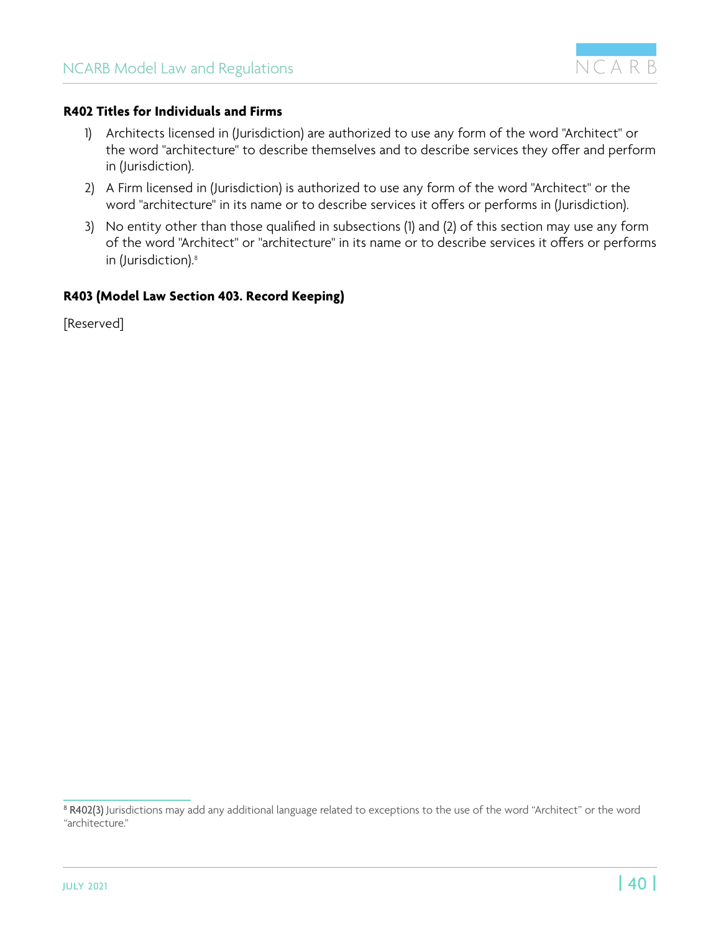

#### <span id="page-39-0"></span>**R402 Titles for Individuals and Firms**

- 1) Architects licensed in (Jurisdiction) are authorized to use any form of the word "Architect" or the word "architecture" to describe themselves and to describe services they offer and perform in (Jurisdiction).
- 2) A Firm licensed in (Jurisdiction) is authorized to use any form of the word "Architect" or the word "architecture" in its name or to describe services it offers or performs in (Jurisdiction).
- 3) No entity other than those qualified in subsections (1) and (2) of this section may use any form of the word "Architect" or "architecture" in its name or to describe services it offers or performs in (Jurisdiction).<sup>8</sup>

#### **R403 (Model Law Section 403. Record Keeping)**

[Reserved]

 $^8$  **R402(3)** Jurisdictions may add any additional language related to exceptions to the use of the word "Architect" or the word "architecture."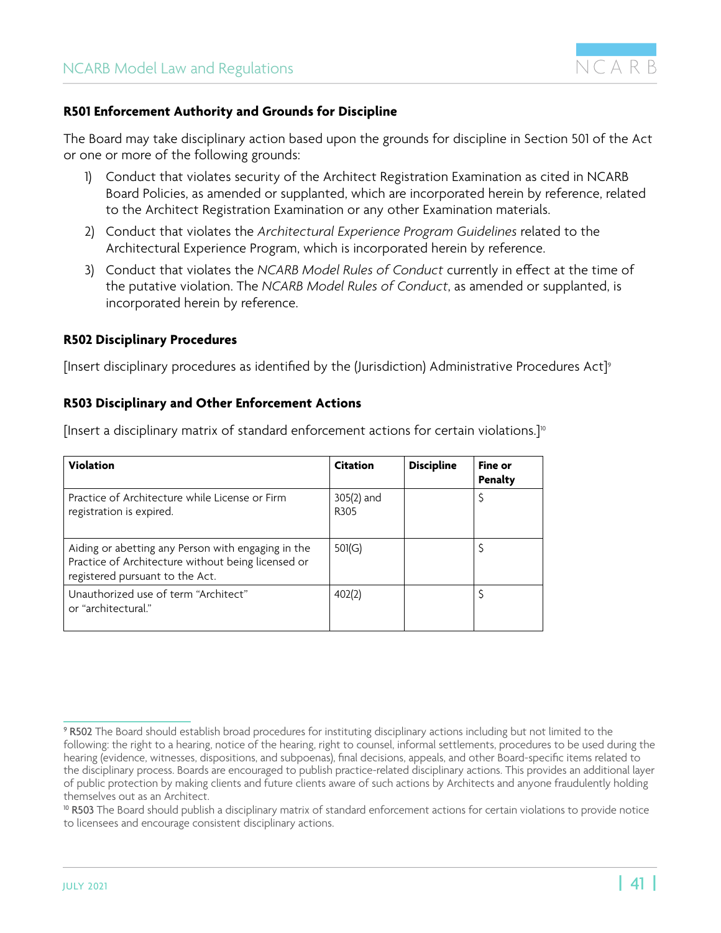

#### <span id="page-40-0"></span>**R501 Enforcement Authority and Grounds for Discipline**

The Board may take disciplinary action based upon the grounds for discipline in Section 501 of the Act or one or more of the following grounds:

- 1) Conduct that violates security of the Architect Registration Examination as cited in NCARB Board Policies, as amended or supplanted, which are incorporated herein by reference, related to the Architect Registration Examination or any other Examination materials.
- 2) Conduct that violates the *Architectural Experience Program Guidelines* related to the Architectural Experience Program, which is incorporated herein by reference.
- 3) Conduct that violates the *NCARB Model Rules of Conduct* currently in effect at the time of the putative violation. The *NCARB Model Rules of Conduct*, as amended or supplanted, is incorporated herein by reference.

#### **R502 Disciplinary Procedures**

[Insert disciplinary procedures as identified by the (Jurisdiction) Administrative Procedures Act]<sup>9</sup>

#### **R503 Disciplinary and Other Enforcement Actions**

[Insert a disciplinary matrix of standard enforcement actions for certain violations.]<sup>10</sup>

| <b>Violation</b>                                                                                                                            | <b>Citation</b>                | <b>Discipline</b> | Fine or<br>Penalty |
|---------------------------------------------------------------------------------------------------------------------------------------------|--------------------------------|-------------------|--------------------|
| Practice of Architecture while License or Firm<br>registration is expired.                                                                  | 305(2) and<br>R <sub>305</sub> |                   |                    |
| Aiding or abetting any Person with engaging in the<br>Practice of Architecture without being licensed or<br>registered pursuant to the Act. | 501(G)                         |                   |                    |
| Unauthorized use of term "Architect"<br>or "architectural."                                                                                 | 402(2)                         |                   |                    |

<sup>9</sup> R502 The Board should establish broad procedures for instituting disciplinary actions including but not limited to the following: the right to a hearing, notice of the hearing, right to counsel, informal settlements, procedures to be used during the hearing (evidence, witnesses, dispositions, and subpoenas), final decisions, appeals, and other Board-specific items related to the disciplinary process. Boards are encouraged to publish practice-related disciplinary actions. This provides an additional layer of public protection by making clients and future clients aware of such actions by Architects and anyone fraudulently holding themselves out as an Architect.

<sup>&</sup>lt;sup>10</sup> R503 The Board should publish a disciplinary matrix of standard enforcement actions for certain violations to provide notice to licensees and encourage consistent disciplinary actions.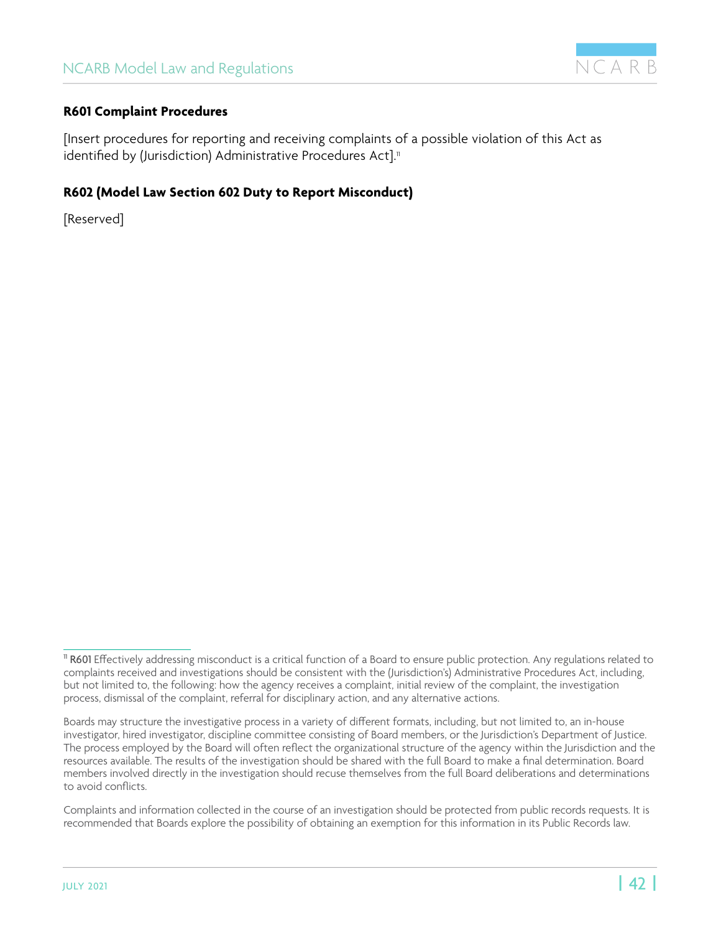

#### <span id="page-41-0"></span>**R601 Complaint Procedures**

[Insert procedures for reporting and receiving complaints of a possible violation of this Act as identified by (Jurisdiction) Administrative Procedures Act].<sup>11</sup>

#### **R602 (Model Law Section 602 Duty to Report Misconduct)**

[Reserved]

<sup>&</sup>lt;sup>11</sup> R601 Effectively addressing misconduct is a critical function of a Board to ensure public protection. Any regulations related to complaints received and investigations should be consistent with the (Jurisdiction's) Administrative Procedures Act, including, but not limited to, the following: how the agency receives a complaint, initial review of the complaint, the investigation process, dismissal of the complaint, referral for disciplinary action, and any alternative actions.

Boards may structure the investigative process in a variety of different formats, including, but not limited to, an in-house investigator, hired investigator, discipline committee consisting of Board members, or the Jurisdiction's Department of Justice. The process employed by the Board will often reflect the organizational structure of the agency within the Jurisdiction and the resources available. The results of the investigation should be shared with the full Board to make a final determination. Board members involved directly in the investigation should recuse themselves from the full Board deliberations and determinations to avoid conflicts.

Complaints and information collected in the course of an investigation should be protected from public records requests. It is recommended that Boards explore the possibility of obtaining an exemption for this information in its Public Records law.